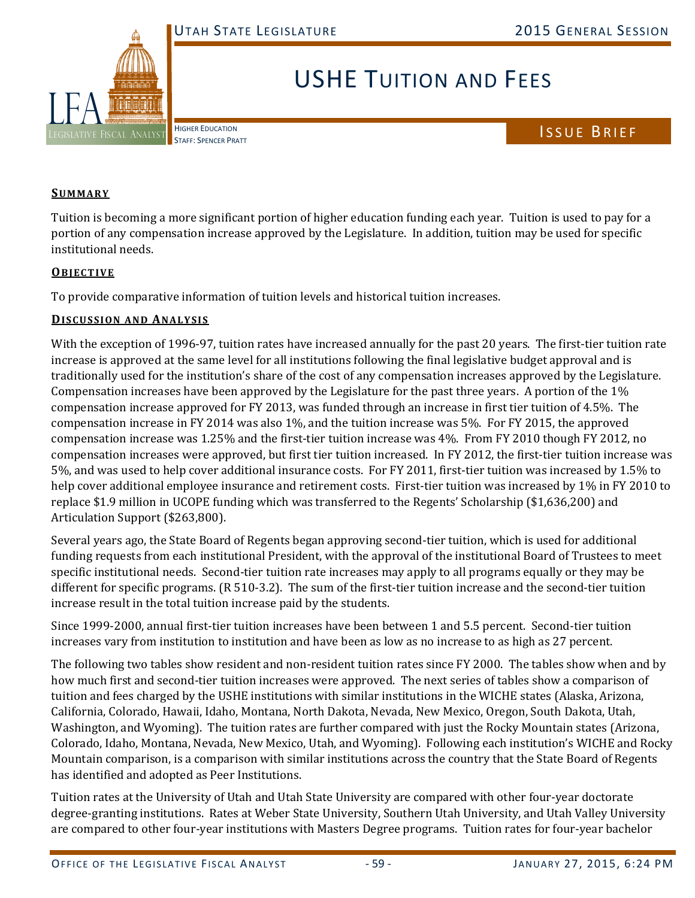

# USHE TUITION AND FEES

HIGHER EDUCATION

# HIGHER EDUCATION<br>STAFF: SPENCER PRATT

### **SUMMARY**

Tuition is becoming a more significant portion of higher education funding each year. Tuition is used to pay for a portion of any compensation increase approved by the Legislature. In addition, tuition may be used for specific institutional needs.

#### **OBJECTIVE**

To provide comparative information of tuition levels and historical tuition increases.

#### **DISCUSSION AND ANALYSIS**

With the exception of 1996-97, tuition rates have increased annually for the past 20 years. The first-tier tuition rate increase is approved at the same level for all institutions following the final legislative budget approval and is traditionally used for the institution's share of the cost of any compensation increases approved by the Legislature. Compensation increases have been approved by the Legislature for the past three years. A portion of the  $1\%$ compensation increase approved for FY 2013, was funded through an increase in first tier tuition of 4.5%. The compensation increase in FY 2014 was also 1%, and the tuition increase was  $5\%$ . For FY 2015, the approved compensation increase was 1.25% and the first-tier tuition increase was 4%. From FY 2010 though FY 2012, no compensation increases were approved, but first tier tuition increased. In FY 2012, the first-tier tuition increase was 5%, and was used to help cover additional insurance costs. For FY 2011, first-tier tuition was increased by 1.5% to help cover additional employee insurance and retirement costs. First-tier tuition was increased by 1% in FY 2010 to replace \$1.9 million in UCOPE funding which was transferred to the Regents' Scholarship (\$1,636,200) and Articulation Support (\$263,800).

Several years ago, the State Board of Regents began approving second-tier tuition, which is used for additional funding requests from each institutional President, with the approval of the institutional Board of Trustees to meet specific institutional needs. Second-tier tuition rate increases may apply to all programs equally or they may be different for specific programs.  $(R 510-3.2)$ . The sum of the first-tier tuition increase and the second-tier tuition increase result in the total tuition increase paid by the students.

Since 1999-2000, annual first-tier tuition increases have been between 1 and 5.5 percent. Second-tier tuition increases vary from institution to institution and have been as low as no increase to as high as 27 percent.

The following two tables show resident and non-resident tuition rates since FY 2000. The tables show when and by how much first and second-tier tuition increases were approved. The next series of tables show a comparison of tuition and fees charged by the USHE institutions with similar institutions in the WICHE states (Alaska, Arizona, California, Colorado, Hawaii, Idaho, Montana, North Dakota, Nevada, New Mexico, Oregon, South Dakota, Utah, Washington, and Wyoming). The tuition rates are further compared with just the Rocky Mountain states (Arizona, Colorado, Idaho, Montana, Nevada, New Mexico, Utah, and Wyoming). Following each institution's WICHE and Rocky Mountain comparison, is a comparison with similar institutions across the country that the State Board of Regents has identified and adopted as Peer Institutions.

Tuition rates at the University of Utah and Utah State University are compared with other four-year doctorate degree-granting institutions. Rates at Weber State University, Southern Utah University, and Utah Valley University are compared to other four-year institutions with Masters Degree programs. Tuition rates for four-year bachelor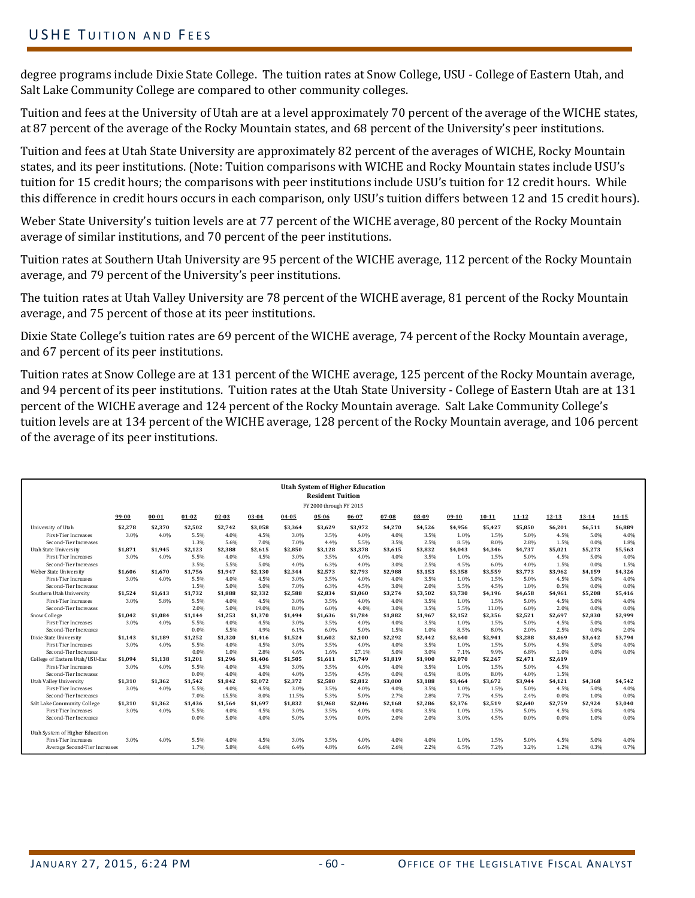# USHE TUITION AND FEES

degree programs include Dixie State College. The tuition rates at Snow College, USU - College of Eastern Utah, and Salt Lake Community College are compared to other community colleges.

Tuition and fees at the University of Utah are at a level approximately 70 percent of the average of the WICHE states, at 87 percent of the average of the Rocky Mountain states, and 68 percent of the University's peer institutions.

Tuition and fees at Utah State University are approximately 82 percent of the averages of WICHE, Rocky Mountain states, and its peer institutions. (Note: Tuition comparisons with WICHE and Rocky Mountain states include USU's tuition for 15 credit hours; the comparisons with peer institutions include USU's tuition for 12 credit hours. While this difference in credit hours occurs in each comparison, only USU's tuition differs between 12 and 15 credit hours).

Weber State University's tuition levels are at 77 percent of the WICHE average, 80 percent of the Rocky Mountain average of similar institutions, and 70 percent of the peer institutions.

Tuition rates at Southern Utah University are 95 percent of the WICHE average, 112 percent of the Rocky Mountain average, and 79 percent of the University's peer institutions.

The tuition rates at Utah Valley University are 78 percent of the WICHE average, 81 percent of the Rocky Mountain average, and 75 percent of those at its peer institutions.

Dixie State College's tuition rates are 69 percent of the WICHE average, 74 percent of the Rocky Mountain average, and 67 percent of its peer institutions.

Tuition rates at Snow College are at 131 percent of the WICHE average, 125 percent of the Rocky Mountain average, and 94 percent of its peer institutions. Tuition rates at the Utah State University - College of Eastern Utah are at 131 percent of the WICHE average and 124 percent of the Rocky Mountain average. Salt Lake Community College's tuition levels are at 134 percent of the WICHE average, 128 percent of the Rocky Mountain average, and 106 percent of the average of its peer institutions.

| <b>Utah System of Higher Education</b><br><b>Resident Tuition</b><br>FY 2000 through FY 2015 |         |           |         |         |           |         |         |         |         |         |         |           |         |           |           |           |
|----------------------------------------------------------------------------------------------|---------|-----------|---------|---------|-----------|---------|---------|---------|---------|---------|---------|-----------|---------|-----------|-----------|-----------|
|                                                                                              |         |           |         |         |           |         |         |         |         |         |         |           |         |           |           |           |
|                                                                                              | 99-00   | $00 - 01$ | 01-02   | 02-03   | $03 - 04$ | 04-05   | 05-06   | 06-07   | 07-08   | 08-09   | 09-10   | $10 - 11$ | 11-12   | $12 - 13$ | $13 - 14$ | $14 - 15$ |
| University of Utah                                                                           | \$2,278 | \$2,370   | \$2,502 | \$2,742 | \$3.058   | \$3,364 | \$3,629 | \$3,972 | \$4,270 | \$4,526 | \$4,956 | \$5,427   | \$5,850 | \$6,201   | \$6,511   | \$6,889   |
| <b>First-Tier Increases</b>                                                                  | 3.0%    | 4.0%      | 5.5%    | 4.0%    | 4.5%      | 3.0%    | 3.5%    | 4.0%    | 4.0%    | 3.5%    | 1.0%    | 1.5%      | 5.0%    | 4.5%      | 5.0%      | 4.0%      |
| Second-Tier Increases                                                                        |         |           | 1.3%    | 5.6%    | 7.0%      | 7.0%    | 4.4%    | 5.5%    | 3.5%    | 2.5%    | 8.5%    | 8.0%      | 2.8%    | 1.5%      | 0.0%      | 1.8%      |
| <b>Utah State University</b>                                                                 | \$1,871 | \$1.945   | \$2,123 | \$2,388 | \$2,615   | \$2,850 | \$3,128 | \$3,378 | \$3,615 | \$3,832 | \$4,043 | \$4,346   | \$4,737 | \$5,021   | \$5,273   | \$5,563   |
| <b>First-Tier Increases</b>                                                                  | 3.0%    | 4.0%      | 5.5%    | 4.0%    | 4.5%      | 3.0%    | 3.5%    | 4.0%    | 4.0%    | 3.5%    | 1.0%    | 1.5%      | 5.0%    | 4.5%      | 5.0%      | 4.0%      |
| Second-Tier Increases                                                                        |         |           | 3.5%    | 5.5%    | 5.0%      | 4.0%    | 6.3%    | 4.0%    | 3.0%    | 2.5%    | 4.5%    | 6.0%      | 4.0%    | 1.5%      | 0.0%      | 1.5%      |
| Weber State University                                                                       | \$1.606 | \$1.670   | \$1.756 | \$1.947 | \$2,130   | \$2.344 | \$2,573 | \$2,793 | \$2,988 | \$3,153 | \$3,358 | \$3,559   | \$3,773 | \$3.962   | \$4,159   | \$4,326   |
| <b>First-Tier Increases</b>                                                                  | 3.0%    | 4.0%      | 5.5%    | 4.0%    | 4.5%      | 3.0%    | 3.5%    | 4.0%    | 4.0%    | 3.5%    | 1.0%    | 1.5%      | 5.0%    | 4.5%      | 5.0%      | 4.0%      |
| Second-Tier Increases                                                                        |         |           | 1.5%    | 5.0%    | 5.0%      | 7.0%    | 6.3%    | 4.5%    | 3.0%    | 2.0%    | 5.5%    | 4.5%      | 1.0%    | 0.5%      | 0.0%      | 0.0%      |
| Southern Utah University                                                                     | \$1,524 | \$1.613   | \$1,732 | \$1.888 | \$2,332   | \$2,588 | \$2.834 | \$3.060 | \$3,274 | \$3,502 | \$3,730 | \$4.196   | \$4.658 | \$4,961   | \$5,208   | \$5,416   |
| <b>First-Tier Increases</b>                                                                  | 3.0%    | 5.8%      | 5.5%    | 4.0%    | 4.5%      | 3.0%    | 3.5%    | 4.0%    | 4.0%    | 3.5%    | 1.0%    | 1.5%      | 5.0%    | 4.5%      | 5.0%      | 4.0%      |
| Second-Tier Increases                                                                        |         |           | 2.0%    | 5.0%    | 19.0%     | 8.0%    | 6.0%    | 4.0%    | 3.0%    | 3.5%    | 5.5%    | 11.0%     | 6.0%    | 2.0%      | 0.0%      | 0.0%      |
| Snow College                                                                                 | \$1.042 | \$1.084   | \$1.144 | \$1.253 | \$1.370   | \$1.494 | \$1.636 | \$1.784 | \$1.882 | \$1.967 | \$2.152 | \$2.356   | \$2.521 | \$2.697   | \$2.830   | \$2.999   |
| <b>First-Tier Increases</b>                                                                  | 3.0%    | 4.0%      | 5.5%    | 4.0%    | 4.5%      | 3.0%    | 3.5%    | 4.0%    | 4.0%    | 3.5%    | 1.0%    | 1.5%      | 5.0%    | 4.5%      | 5.0%      | 4.0%      |
| Second-Tier Increases                                                                        |         |           | 0.0%    | 5.5%    | 4.9%      | 6.1%    | 6.0%    | 5.0%    | 1.5%    | 1.0%    | 8.5%    | 8.0%      | 2.0%    | 2.5%      | 0.0%      | 2.0%      |
| Dixie State University                                                                       | \$1.143 | \$1.189   | \$1.252 | \$1.320 | \$1.416   | \$1.524 | \$1.602 | \$2.100 | \$2.292 | \$2.442 | \$2.640 | \$2.941   | \$3.288 | \$3.469   | \$3.642   | \$3.794   |
| <b>First-Tier Increases</b>                                                                  | 3.0%    | 4.0%      | 5.5%    | 4.0%    | 4.5%      | 3.0%    | 3.5%    | 4.0%    | 4.0%    | 3.5%    | 1.0%    | 1.5%      | 5.0%    | 4.5%      | 5.0%      | 4.0%      |
| Second-Tier Increases                                                                        |         |           | 0.0%    | 1.0%    | 2.8%      | 4.6%    | 1.6%    | 27.1%   | 5.0%    | 3.0%    | 7.1%    | 9.9%      | 6.8%    | 1.0%      | 0.0%      | 0.0%      |
| College of Eastern Utah/USU-Eas                                                              | \$1,094 | \$1,138   | \$1,201 | \$1,296 | \$1.406   | \$1,505 | \$1,611 | \$1,749 | \$1,819 | \$1,900 | \$2,070 | \$2,267   | \$2.471 | \$2,619   |           |           |
| <b>First-Tier Increases</b>                                                                  | 3.0%    | 4.0%      | 5.5%    | 4.0%    | 4.5%      | 3.0%    | 3.5%    | 4.0%    | 4.0%    | 3.5%    | 1.0%    | 1.5%      | 5.0%    | 4.5%      |           |           |
| Second-Tier Increases                                                                        |         |           | 0.0%    | 4.0%    | 4.0%      | 4.0%    | 3.5%    | 4.5%    | 0.0%    | 0.5%    | 8.0%    | 8.0%      | 4.0%    | 1.5%      |           |           |
| Utah Valley University                                                                       | \$1.310 | \$1.362   | \$1.542 | \$1.842 | \$2.072   | \$2.372 | \$2.580 | \$2.812 | \$3.000 | \$3.188 | \$3.464 | \$3.672   | \$3.944 | \$4,121   | \$4.368   | \$4,542   |
| <b>First-Tier Increases</b>                                                                  | 3.0%    | 4.0%      | 5.5%    | 4.0%    | 4.5%      | 3.0%    | 3.5%    | 4.0%    | 4.0%    | 3.5%    | 1.0%    | 1.5%      | 5.0%    | 4.5%      | 5.0%      | 4.0%      |
| Second-Tier Increases                                                                        |         |           | 7.0%    | 15.5%   | 8.0%      | 11.5%   | 5.3%    | 5.0%    | 2.7%    | 2.8%    | 7.7%    | 4.5%      | 2.4%    | 0.0%      | 1.0%      | 0.0%      |
| Salt Lake Community College                                                                  | \$1.310 | \$1.362   | \$1.436 | \$1.564 | \$1.697   | \$1.832 | \$1.968 | \$2.046 | \$2.168 | \$2.286 | \$2.376 | \$2.519   | \$2.640 | \$2.759   | \$2.924   | \$3.040   |
| <b>First-Tier Increases</b>                                                                  | 3.0%    | 4.0%      | 5.5%    | 4.0%    | 4.5%      | 3.0%    | 3.5%    | 4.0%    | 4.0%    | 3.5%    | 1.0%    | 1.5%      | 5.0%    | 4.5%      | 5.0%      | 4.0%      |
| Second-Tier Increases                                                                        |         |           | 0.0%    | 5.0%    | 4.0%      | 5.0%    | 3.9%    | 0.0%    | 2.0%    | 2.0%    | 3.0%    | 4.5%      | 0.0%    | 0.0%      | 1.0%      | 0.0%      |
| Utah System of Higher Education                                                              |         |           |         |         |           |         |         |         |         |         |         |           |         |           |           |           |
| <b>First-Tier Increases</b>                                                                  | 3.0%    | 4.0%      | 5.5%    | 4.0%    | 4.5%      | 3.0%    | 3.5%    | 4.0%    | 4.0%    | 4.0%    | 1.0%    | 1.5%      | 5.0%    | 4.5%      | 5.0%      | 4.0%      |
| Average Second-Tier Increases                                                                |         |           | 1.7%    | 5.8%    | 6.6%      | 6.4%    | 4.8%    | 6.6%    | 2.6%    | 2.2%    | 6.5%    | 7.2%      | 3.2%    | 1.2%      | 0.3%      | 0.7%      |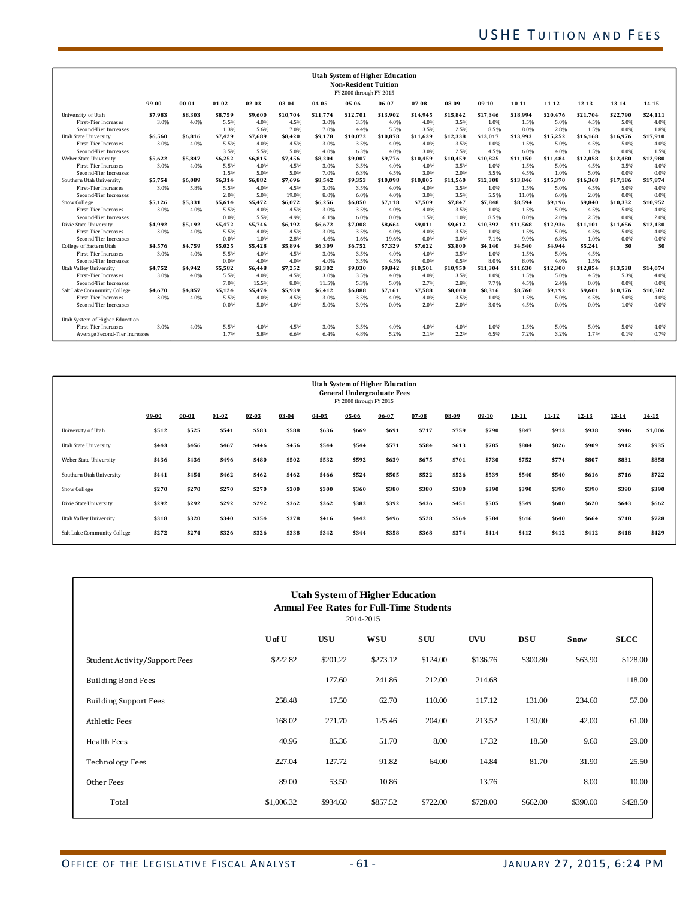| <b>Utah System of Higher Education</b><br><b>Non-Resident Tuition</b><br>FY 2000 through FY 2015 |         |           |         |           |           |           |          |          |           |          |          |           |           |          |          |          |
|--------------------------------------------------------------------------------------------------|---------|-----------|---------|-----------|-----------|-----------|----------|----------|-----------|----------|----------|-----------|-----------|----------|----------|----------|
|                                                                                                  | 99-00   | $00 - 01$ | 01-02   | $02 - 03$ | $03 - 04$ | $04 - 05$ | 05-06    | 06-07    | $07 - 08$ | 08-09    | $09-10$  | $10 - 11$ | $11 - 12$ | 12-13    | 13-14    | 14-15    |
| University of Utah                                                                               | \$7.983 | \$8.303   | \$8.759 | \$9.600   | \$10.704  | \$11,774  | \$12.701 | \$13.902 | \$14.945  | \$15.842 | \$17.346 | \$18.994  | \$20.476  | \$21.704 | \$22.790 | \$24.111 |
| <b>First-Tier Increases</b>                                                                      | 3.0%    | 4.0%      | 5.5%    | 4.0%      | 4.5%      | 3.0%      | 3.5%     | 4.0%     | 4.0%      | 3.5%     | 1.0%     | 1.5%      | 5.0%      | 4.5%     | 5.0%     | 4.0%     |
| Second-Tier Increases                                                                            |         |           | 1.3%    | 5.6%      | 7.0%      | 7.0%      | 4.4%     | 5.5%     | 3.5%      | 2.5%     | 8.5%     | 8.0%      | 2.8%      | 1.5%     | 0.0%     | 1.8%     |
| <b>Utah State University</b>                                                                     | \$6,560 | \$6.816   | \$7.429 | \$7.689   | \$8.420   | \$9.178   | \$10.072 | \$10.878 | \$11.639  | \$12.338 | \$13.017 | \$13.993  | \$15,252  | \$16.168 | \$16,976 | \$17,910 |
| <b>First-Tier Increases</b>                                                                      | 3.0%    | 4.0%      | 5.5%    | 4.0%      | 4.5%      | 3.0%      | 3.5%     | 4.0%     | 4.0%      | 3.5%     | 1.0%     | 1.5%      | 5.0%      | 4.5%     | 5.0%     | 4.0%     |
| Second-Tier Increases                                                                            |         |           | 3.5%    | 5.5%      | 5.0%      | 4.0%      | 6.3%     | 4.0%     | 3.0%      | 2.5%     | 4.5%     | 6.0%      | 4.0%      | 1.5%     | 0.0%     | 1.5%     |
| Weber State University                                                                           | \$5.622 | \$5.847   | \$6.252 | \$6.815   | \$7.456   | \$8.204   | \$9,007  | \$9.776  | \$10.459  | \$10.459 | \$10.825 | \$11.150  | \$11.484  | \$12.058 | \$12.480 | \$12,980 |
| <b>First-Tier Increases</b>                                                                      | 3.0%    | 4.0%      | 5.5%    | 4.0%      | 4.5%      | 3.0%      | 3.5%     | 4.0%     | 4.0%      | 3.5%     | 1.0%     | 1.5%      | 5.0%      | 4.5%     | 3.5%     | 4.0%     |
| Second-Tier Increases                                                                            |         |           | 1.5%    | 5.0%      | 5.0%      | 7.0%      | 6.3%     | 4.5%     | 3.0%      | 2.0%     | 5.5%     | 4.5%      | 1.0%      | 5.0%     | 0.0%     | 0.0%     |
| Southern Utah University                                                                         | \$5.754 | \$6.089   | \$6.314 | \$6.882   | \$7.696   | \$8.542   | \$9.353  | \$10.098 | \$10.805  | \$11,560 | \$12.308 | \$13.846  | \$15.370  | \$16.368 | \$17.186 | \$17,874 |
| <b>First-Tier Increases</b>                                                                      | 3.0%    | 5.8%      | 5.5%    | 4.0%      | 4.5%      | 3.0%      | 3.5%     | 4.0%     | 4.0%      | 3.5%     | 1.0%     | 1.5%      | 5.0%      | 4.5%     | 5.0%     | 4.0%     |
| Second-Tier Increases                                                                            |         |           | 2.0%    | 5.0%      | 19.0%     | 8.0%      | 6.0%     | 4.0%     | 3.0%      | 3.5%     | 5.5%     | 11.0%     | 6.0%      | 2.0%     | 0.0%     | 0.0%     |
| Snow College                                                                                     | \$5,126 | \$5.331   | \$5.614 | \$5.472   | \$6.072   | \$6,256   | \$6.850  | \$7.118  | \$7.509   | \$7.847  | \$7.848  | \$8.594   | \$9.196   | \$9.840  | \$10.332 | \$10,952 |
| <b>First-Tier Increases</b>                                                                      | 3.0%    | 4.0%      | 5.5%    | 4.0%      | 4.5%      | 3.0%      | 3.5%     | 4.0%     | 4.0%      | 3.5%     | 1.0%     | 1.5%      | 5.0%      | 4.5%     | 5.0%     | 4.0%     |
| Second-Tier Increases                                                                            |         |           | 0.0%    | 5.5%      | 4.9%      | 6.1%      | 6.0%     | 0.0%     | 1.5%      | 1.0%     | 8.5%     | 8.0%      | 2.0%      | 2.5%     | 0.0%     | 2.0%     |
| Dixie State University                                                                           | \$4.992 | \$5.192   | \$5.472 | \$5.746   | \$6.192   | \$6.672   | \$7.008  | \$8.664  | \$9.011   | \$9.612  | \$10.392 | \$11.568  | \$12.936  | \$11.101 | \$11.656 | \$12,130 |
| <b>First-Tier Increases</b>                                                                      | 3.0%    | 4.0%      | 5.5%    | 4.0%      | 4.5%      | 3.0%      | 3.5%     | 4.0%     | 4.0%      | 3.5%     | 1.0%     | 1.5%      | 5.0%      | 4.5%     | 5.0%     | 4.0%     |
| Second-Tier Increases                                                                            |         |           | 0.0%    | 1.0%      | 2.8%      | 4.6%      | 1.6%     | 19.6%    | 0.0%      | 3.0%     | 7.1%     | 9.9%      | 6.8%      | 1.0%     | 0.0%     | 0.0%     |
| College of Eastern Utah                                                                          | \$4.576 | \$4.759   | \$5.025 | \$5.428   | \$5.894   | \$6.309   | \$6.752  | \$7.329  | \$7.622   | \$3.800  | \$4.140  | \$4.540   | \$4.944   | \$5.241  | \$0      | \$0      |
| <b>First-Tier Increases</b>                                                                      | 3.0%    | 4.0%      | 5.5%    | 4.0%      | 4.5%      | 3.0%      | 3.5%     | 4.0%     | 4.0%      | 3.5%     | 1.0%     | 1.5%      | 5.0%      | 4.5%     |          |          |
| Second-Tier Increases                                                                            |         |           | 0.0%    | 4.0%      | 4.0%      | 4.0%      | 3.5%     | 4.5%     | 0.0%      | 0.5%     | 8.0%     | 8.0%      | 4.0%      | 1.5%     |          |          |
| Utah Valley University                                                                           | \$4.752 | \$4.942   | \$5.582 | \$6.448   | \$7.252   | \$8.302   | \$9.030  | \$9.842  | \$10.501  | \$10.950 | \$11.304 | \$11.630  | \$12.300  | \$12.854 | \$13.538 | \$14,074 |
| <b>First-Tier Increases</b>                                                                      | 3.0%    | 4.0%      | 5.5%    | 4.0%      | 4.5%      | 3.0%      | 3.5%     | 4.0%     | 4.0%      | 3.5%     | 1.0%     | 1.5%      | 5.0%      | 4.5%     | 5.3%     | 4.0%     |
| Second-Tier Increases                                                                            |         |           | 7.0%    | 15.5%     | 8.0%      | 11.5%     | 5.3%     | 5.0%     | 2.7%      | 2.8%     | 7.7%     | 4.5%      | 2.4%      | 0.0%     | 0.0%     | 0.0%     |
| Salt Lake Community College                                                                      | \$4.670 | \$4.857   | \$5.124 | \$5.474   | \$5.939   | \$6.412   | \$6.888  | \$7.161  | \$7.588   | \$8.000  | \$8.316  | \$8.760   | \$9.192   | \$9.601  | \$10.176 | \$10,582 |
| <b>First-Tier Increases</b>                                                                      | 3.0%    | 4.0%      | 5.5%    | 4.0%      | 4.5%      | 3.0%      | 3.5%     | 4.0%     | 4.0%      | 3.5%     | 1.0%     | 1.5%      | 5.0%      | 4.5%     | 5.0%     | 4.0%     |
| Second-Tier Increases                                                                            |         |           | 0.0%    | 5.0%      | 4.0%      | 5.0%      | 3.9%     | 0.0%     | 2.0%      | 2.0%     | 3.0%     | 4.5%      | 0.0%      | 0.0%     | 1.0%     | 0.0%     |
| Utah System of Higher Education                                                                  |         |           |         |           |           |           |          |          |           |          |          |           |           |          |          |          |
| <b>First-Tier Increases</b>                                                                      | 3.0%    | 4.0%      | 5.5%    | 4.0%      | 4.5%      | 3.0%      | 3.5%     | 4.0%     | 4.0%      | 4.0%     | 1.0%     | 1.5%      | 5.0%      | 5.0%     | 5.0%     | 4.0%     |
| Average Second-Tier Increases                                                                    |         |           | 1.7%    | 5.8%      | 6.6%      | 6.4%      | 4.8%     | 5.2%     | 2.1%      | 2.2%     | 6.5%     | 7.2%      | 3.2%      | 1.7%     | 0.1%     | 0.7%     |

| <b>Utah System of Higher Education</b><br><b>General Undergraduate Fees</b><br>FY 2000 through FY 2015 |           |           |           |           |           |           |           |           |           |           |         |           |           |           |           |           |
|--------------------------------------------------------------------------------------------------------|-----------|-----------|-----------|-----------|-----------|-----------|-----------|-----------|-----------|-----------|---------|-----------|-----------|-----------|-----------|-----------|
|                                                                                                        | $99 - 00$ | $00 - 01$ | $01 - 02$ | $02 - 03$ | $03 - 04$ | $04 - 05$ | $05 - 06$ | $06 - 07$ | $07 - 08$ | $08 - 09$ | $09-10$ | $10 - 11$ | $11 - 12$ | $12 - 13$ | $13 - 14$ | $14 - 15$ |
| University of Utah                                                                                     | \$512     | \$525     | \$541     | \$583     | \$588     | \$636     | \$669     | \$691     | \$717     | \$759     | \$790   | \$847     | \$913     | \$938     | \$946     | \$1,006   |
| Utah State University                                                                                  | \$443     | \$456     | \$467     | \$446     | \$456     | \$544     | \$544     | \$571     | \$584     | \$613     | \$785   | \$804     | \$826     | \$909     | \$912     | \$935     |
| Weber State University                                                                                 | \$436     | \$436     | \$496     | \$480     | \$502     | \$532     | \$592     | \$639     | \$675     | \$701     | \$730   | \$752     | \$774     | \$807     | \$831     | \$858     |
| Southern Utah University                                                                               | \$441     | \$454     | \$462     | \$462     | \$462     | \$466     | \$524     | \$505     | \$522     | \$526     | \$539   | \$540     | \$540     | \$616     | \$716     | \$722     |
| Snow College                                                                                           | \$270     | \$270     | \$270     | \$270     | \$300     | \$300     | \$360     | \$380     | \$380     | \$380     | \$390   | \$390     | \$390     | \$390     | \$390     | \$390     |
| Dixie State University                                                                                 | \$292     | \$292     | \$292     | \$292     | \$362     | \$362     | \$382     | \$392     | \$436     | \$451     | \$505   | \$549     | \$600     | \$620     | \$643     | \$662     |
| Utah Valley University                                                                                 | \$318     | \$320     | \$340     | \$354     | \$378     | \$416     | \$442     | \$496     | \$528     | \$564     | \$584   | \$616     | \$640     | \$664     | \$718     | \$728     |
| Salt Lake Community College                                                                            | \$272     | \$274     | \$326     | \$326     | \$338     | \$342     | \$344     | \$358     | \$368     | \$374     | \$414   | \$412     | \$412     | \$412     | \$418     | \$429     |
|                                                                                                        |           |           |           |           |           |           |           |           |           |           |         |           |           |           |           |           |

| <b>Utah System of Higher Education</b><br><b>Annual Fee Rates for Full-Time Students</b><br>2014-2015 |            |            |            |          |            |            |             |             |  |
|-------------------------------------------------------------------------------------------------------|------------|------------|------------|----------|------------|------------|-------------|-------------|--|
|                                                                                                       | U of U     | <b>USU</b> | <b>WSU</b> | SUU      | <b>UVU</b> | <b>DSU</b> | <b>Snow</b> | <b>SLCC</b> |  |
| Student Activity/Support Fees                                                                         | \$222.82   | \$201.22   | \$273.12   | \$124.00 | \$136.76   | \$300.80   | \$63.90     | \$128.00    |  |
| <b>Building Bond Fees</b>                                                                             |            | 177.60     | 241.86     | 212.00   | 214.68     |            |             | 118.00      |  |
| <b>Building Support Fees</b>                                                                          | 258.48     | 17.50      | 62.70      | 110.00   | 117.12     | 131.00     | 234.60      | 57.00       |  |
| <b>Athletic Fees</b>                                                                                  | 168.02     | 271.70     | 125.46     | 204.00   | 213.52     | 130.00     | 42.00       | 61.00       |  |
| Health Fees                                                                                           | 40.96      | 85.36      | 51.70      | 8.00     | 17.32      | 18.50      | 9.60        | 29.00       |  |
| <b>Technology Fees</b>                                                                                | 227.04     | 127.72     | 91.82      | 64.00    | 14.84      | 81.70      | 31.90       | 25.50       |  |
| Other Fees                                                                                            | 89.00      | 53.50      | 10.86      |          | 13.76      |            | 8.00        | 10.00       |  |
| Total                                                                                                 | \$1,006.32 | \$934.60   | \$857.52   | \$722.00 | \$728.00   | \$662.00   | \$390.00    | \$428.50    |  |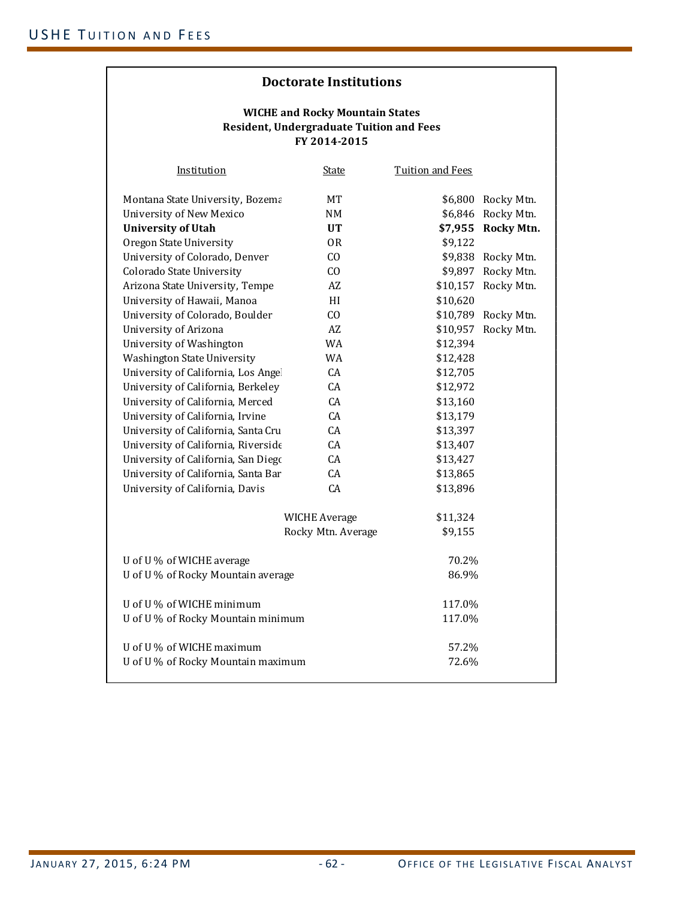#### **FY 2014‐2015 WICHE and Rocky Mountain States Resident, Undergraduate Tuition and Fees**

| Institution                         | <b>State</b>         | <b>Tuition and Fees</b> |                    |
|-------------------------------------|----------------------|-------------------------|--------------------|
| Montana State University, Bozema    | MT                   |                         | \$6,800 Rocky Mtn. |
| University of New Mexico            | NM                   | \$6,846                 | Rocky Mtn.         |
| <b>University of Utah</b>           | <b>UT</b>            | \$7,955                 | <b>Rocky Mtn.</b>  |
| Oregon State University             | 0 <sub>R</sub>       | \$9,122                 |                    |
| University of Colorado, Denver      | CO                   | \$9,838                 | Rocky Mtn.         |
| Colorado State University           | CO                   | \$9,897                 | Rocky Mtn.         |
| Arizona State University, Tempe     | AZ                   | \$10,157                | Rocky Mtn.         |
| University of Hawaii, Manoa         | HI                   | \$10,620                |                    |
| University of Colorado, Boulder     | CO                   | \$10,789                | Rocky Mtn.         |
| University of Arizona               | AZ                   | \$10,957                | Rocky Mtn.         |
| University of Washington            | <b>WA</b>            | \$12,394                |                    |
| Washington State University         | <b>WA</b>            | \$12,428                |                    |
| University of California, Los Angel | CA                   | \$12,705                |                    |
| University of California, Berkeley  | CA                   | \$12,972                |                    |
| University of California, Merced    | CA                   | \$13,160                |                    |
| University of California, Irvine    | CA                   | \$13,179                |                    |
| University of California, Santa Cru | CA                   | \$13,397                |                    |
| University of California, Riverside | CA                   | \$13,407                |                    |
| University of California, San Diego | CA                   | \$13,427                |                    |
| University of California, Santa Bar | CA                   | \$13,865                |                    |
| University of California, Davis     | CA                   | \$13,896                |                    |
|                                     | <b>WICHE Average</b> | \$11,324                |                    |
|                                     | Rocky Mtn. Average   | \$9,155                 |                    |
| U of U % of WICHE average           |                      | 70.2%                   |                    |
| U of U % of Rocky Mountain average  |                      | 86.9%                   |                    |
| U of U % of WICHE minimum           |                      | 117.0%                  |                    |
| U of U% of Rocky Mountain minimum   |                      | 117.0%                  |                    |
| U of U % of WICHE maximum           |                      | 57.2%                   |                    |
| U of U% of Rocky Mountain maximum   |                      | 72.6%                   |                    |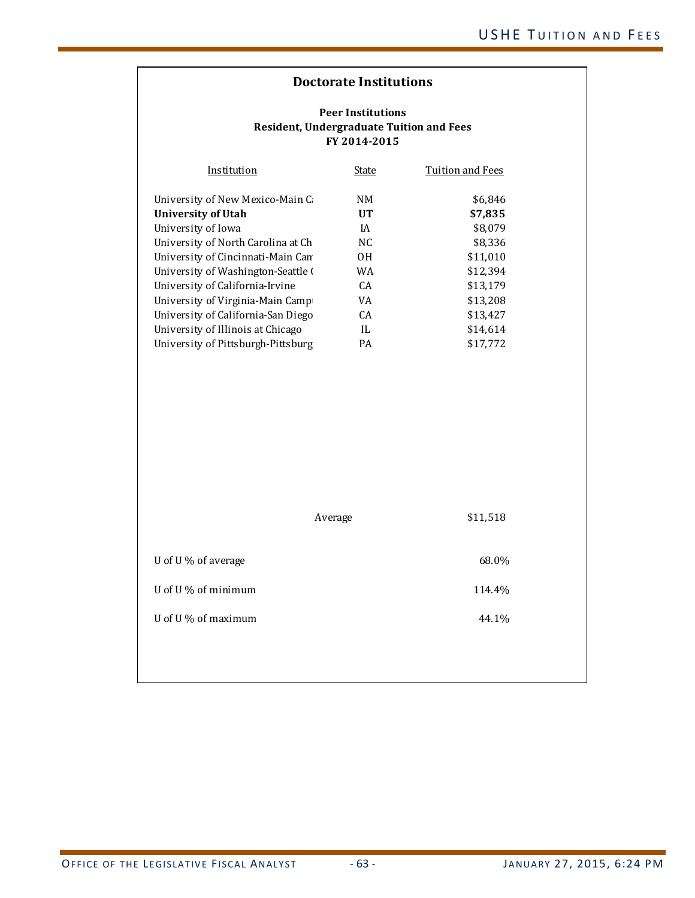| Institution                        | State | Tuition and Fees |
|------------------------------------|-------|------------------|
| University of New Mexico-Main C    | NΜ    | \$6,846          |
| University of Utah                 | UT    | \$7,835          |
| University of Iowa                 | ΙA    | \$8.079          |
| University of North Carolina at Ch | NC.   | \$8,336          |
| University of Cincinnati-Main Can  | 0H    | \$11,010         |
| University of Washington-Seattle ( | WA    | \$12.394         |
| University of California-Irvine    | CA.   | \$13.179         |
| University of Virginia-Main Camp   | VA    | \$13.208         |
| University of California-San Diego | CA.   | \$13.427         |
| University of Illinois at Chicago  | IL    | \$14.614         |
| University of Pittsburgh-Pittsburg | PA    | \$17.772         |

|                     | Average | \$11,518 |
|---------------------|---------|----------|
| U of U % of average |         | 68.0%    |
| U of U % of minimum |         | 114.4%   |
| U of U % of maximum |         | 44.1%    |
|                     |         |          |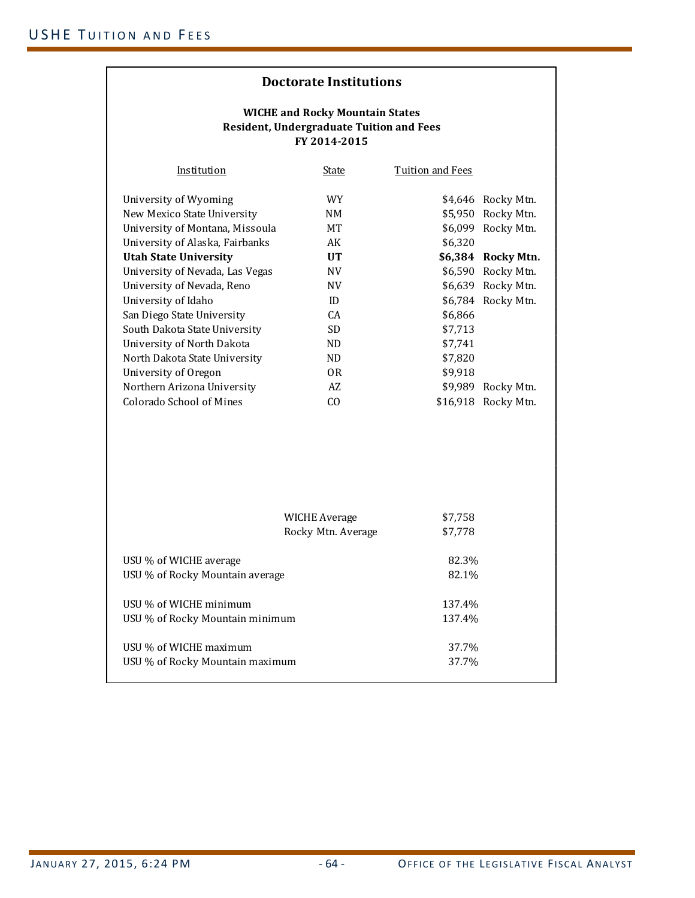#### **FY 2014‐2015 WICHE and Rocky Mountain States Resident, Undergraduate Tuition and Fees**

| Institution                     | State          | Tuition and Fees |                    |
|---------------------------------|----------------|------------------|--------------------|
| University of Wyoming           | <b>WY</b>      |                  | \$4,646 Rocky Mtn. |
| New Mexico State University     | NM.            | \$5,950          | Rocky Mtn.         |
| University of Montana, Missoula | <b>MT</b>      |                  | \$6,099 Rocky Mtn. |
| University of Alaska, Fairbanks | AK             | \$6,320          |                    |
| <b>Utah State University</b>    | <b>UT</b>      |                  | \$6,384 Rocky Mtn. |
| University of Nevada, Las Vegas | NV             | \$6,590          | Rocky Mtn.         |
| University of Nevada, Reno      | NV             |                  | \$6,639 Rocky Mtn. |
| University of Idaho             | ID             |                  | \$6,784 Rocky Mtn. |
| San Diego State University      | CA.            | \$6,866          |                    |
| South Dakota State University   | SD.            | \$7,713          |                    |
| University of North Dakota      | ND.            | \$7.741          |                    |
| North Dakota State University   | ND.            | \$7,820          |                    |
| University of Oregon            | 0 <sub>R</sub> | \$9,918          |                    |
| Northern Arizona University     | AZ             | \$9,989          | Rocky Mtn.         |
| Colorado School of Mines        | CO.            | \$16,918         | Rocky Mtn.         |
|                                 |                |                  |                    |

|                                                           | WICHE Average<br>Rocky Mtn. Average | \$7,758<br>\$7.778 |  |
|-----------------------------------------------------------|-------------------------------------|--------------------|--|
| USU % of WICHE average<br>USU % of Rocky Mountain average |                                     | 82.3%<br>82.1%     |  |
| USU % of WICHE minimum<br>USU % of Rocky Mountain minimum |                                     | 137.4%<br>137.4%   |  |
| USU % of WICHE maximum<br>USU % of Rocky Mountain maximum |                                     | 37.7%<br>37.7%     |  |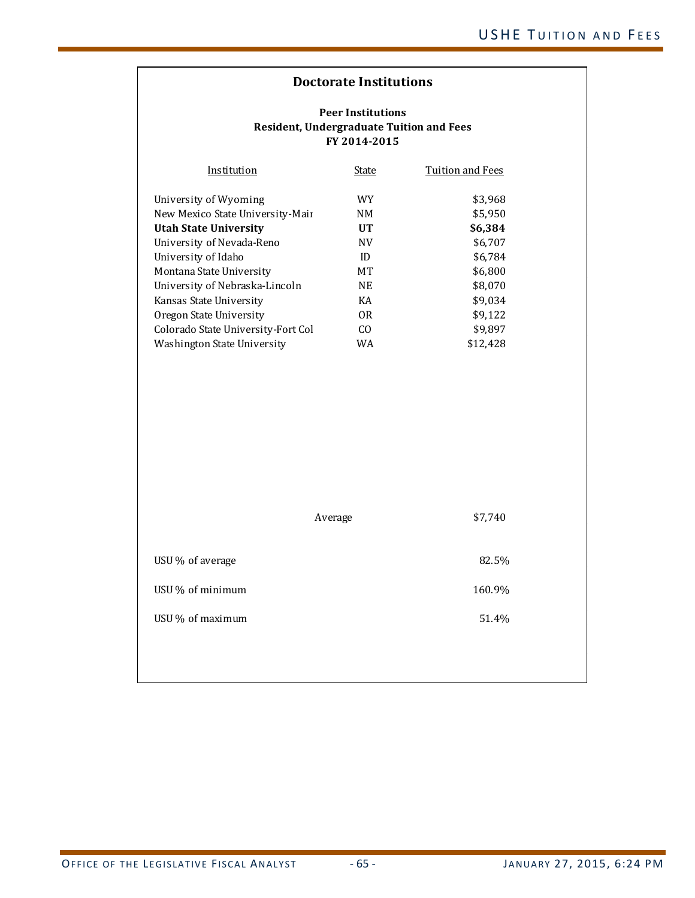| Institution                        | State          | Tuition and Fees |
|------------------------------------|----------------|------------------|
| University of Wyoming              | WY.            | \$3,968          |
| New Mexico State University-Mair   | NΜ             | \$5,950          |
| <b>Utah State University</b>       | UT             | \$6,384          |
| University of Nevada-Reno          | <b>NV</b>      | \$6,707          |
| University of Idaho                | ID             | \$6,784          |
| Montana State University           | <b>MT</b>      | \$6,800          |
| University of Nebraska-Lincoln     | <b>NE</b>      | \$8,070          |
| Kansas State University            | KA             | \$9,034          |
| Oregon State University            | 0R             | \$9,122          |
| Colorado State University-Fort Col | C <sub>O</sub> | \$9,897          |
| Washington State University        | WA             | \$12.428         |

|                  | Average | \$7,740 |
|------------------|---------|---------|
| USU % of average |         | 82.5%   |
| USU % of minimum |         | 160.9%  |
| USU % of maximum |         | 51.4%   |
|                  |         |         |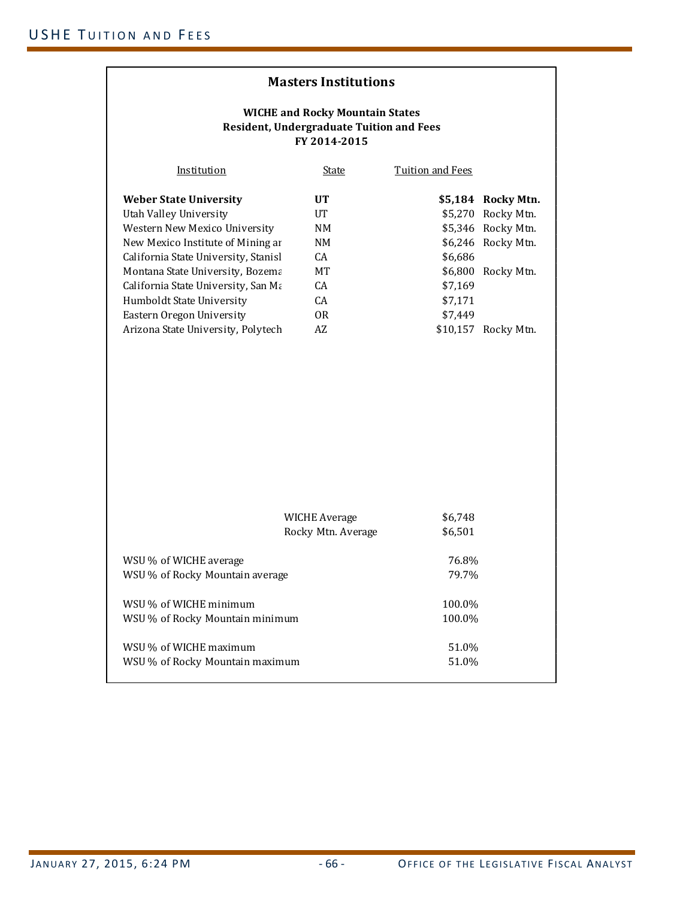| <b>Masters Institutions</b>                                                                                                                                                                                                                                                                                                                      |                                                                                    |                                          |                                                                                                                                   |  |  |  |  |  |
|--------------------------------------------------------------------------------------------------------------------------------------------------------------------------------------------------------------------------------------------------------------------------------------------------------------------------------------------------|------------------------------------------------------------------------------------|------------------------------------------|-----------------------------------------------------------------------------------------------------------------------------------|--|--|--|--|--|
| <b>WICHE and Rocky Mountain States</b><br><b>Resident, Undergraduate Tuition and Fees</b><br>FY 2014-2015                                                                                                                                                                                                                                        |                                                                                    |                                          |                                                                                                                                   |  |  |  |  |  |
| Institution                                                                                                                                                                                                                                                                                                                                      | <u>State</u>                                                                       | <b>Tuition and Fees</b>                  |                                                                                                                                   |  |  |  |  |  |
| <b>Weber State University</b><br>Utah Valley University<br>Western New Mexico University<br>New Mexico Institute of Mining ar<br>California State University, Stanisl<br>Montana State University, Bozema<br>California State University, San Ma<br>Humboldt State University<br>Eastern Oregon University<br>Arizona State University, Polytech | UT<br><b>UT</b><br>NM<br><b>NM</b><br>CA<br>MT<br>CA<br>CA<br>0 <sub>R</sub><br>AZ | \$6,686<br>\$7,169<br>\$7,171<br>\$7,449 | \$5,184 Rocky Mtn.<br>\$5,270 Rocky Mtn.<br>\$5,346 Rocky Mtn.<br>\$6,246 Rocky Mtn.<br>\$6,800 Rocky Mtn.<br>\$10,157 Rocky Mtn. |  |  |  |  |  |
|                                                                                                                                                                                                                                                                                                                                                  | <b>WICHE Average</b><br>Rocky Mtn. Average                                         | \$6,748<br>\$6,501                       |                                                                                                                                   |  |  |  |  |  |
| WSU % of WICHE average<br>WSU % of Rocky Mountain average                                                                                                                                                                                                                                                                                        |                                                                                    | 76.8%<br>79.7%                           |                                                                                                                                   |  |  |  |  |  |
| WSU % of WICHE minimum<br>WSU % of Rocky Mountain minimum                                                                                                                                                                                                                                                                                        |                                                                                    | 100.0%<br>100.0%                         |                                                                                                                                   |  |  |  |  |  |
| WSU % of WICHE maximum<br>WSU % of Rocky Mountain maximum                                                                                                                                                                                                                                                                                        |                                                                                    | 51.0%<br>51.0%                           |                                                                                                                                   |  |  |  |  |  |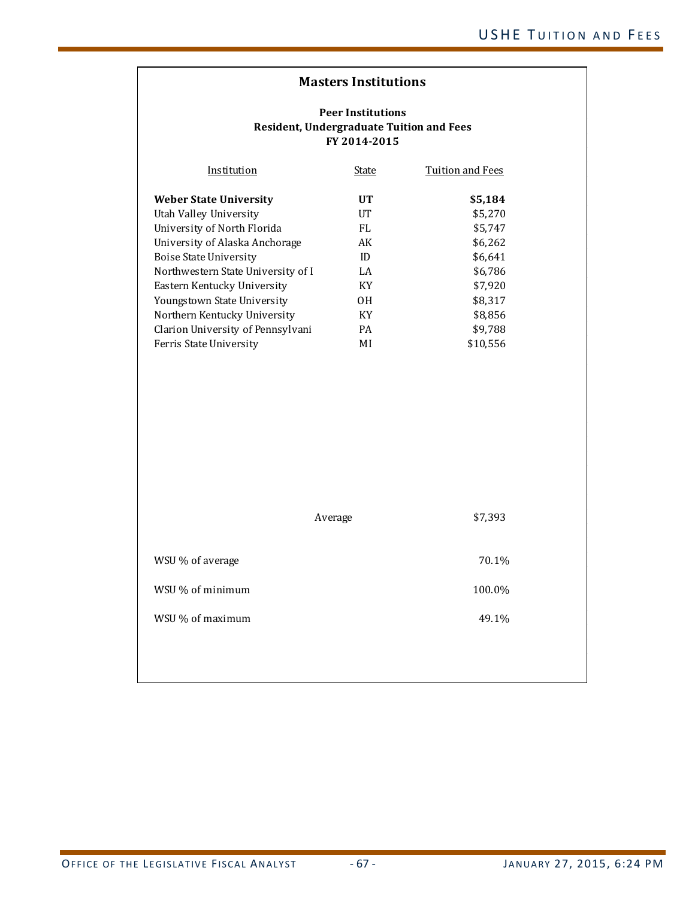| Institution                        | State | Tuition and Fees |
|------------------------------------|-------|------------------|
| <b>Weber State University</b>      | UT    | \$5,184          |
| Utah Valley University             | UT    | \$5.270          |
| University of North Florida        | FL    | \$5,747          |
| University of Alaska Anchorage     | AK    | \$6,262          |
| Boise State University             | ID    | \$6,641          |
| Northwestern State University of I | LA    | \$6,786          |
| Eastern Kentucky University        | KY    | \$7.920          |
| Youngstown State University        | 0H    | \$8,317          |
| Northern Kentucky University       | KY    | \$8,856          |
| Clarion University of Pennsylvani  | PA    | \$9,788          |
| Ferris State University            | MI    | \$10.556         |

|                  | Average | \$7,393 |
|------------------|---------|---------|
| WSU % of average |         | 70.1%   |
| WSU % of minimum |         | 100.0%  |
| WSU % of maximum |         | 49.1%   |
|                  |         |         |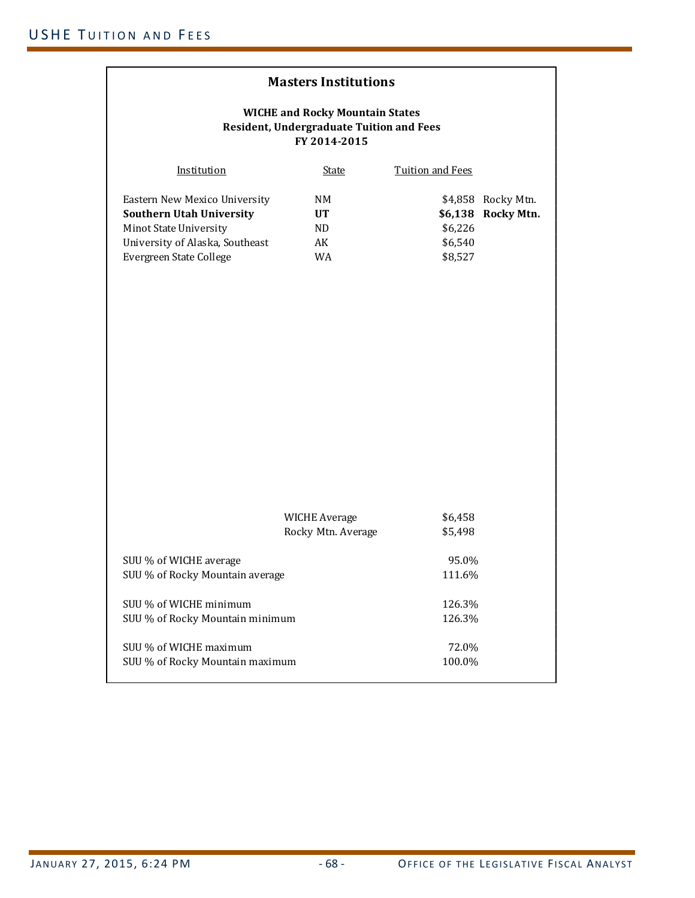| <b>Masters Institutions</b>                                                                                                                              |                                            |                               |                                          |
|----------------------------------------------------------------------------------------------------------------------------------------------------------|--------------------------------------------|-------------------------------|------------------------------------------|
| <b>WICHE and Rocky Mountain States</b><br><b>Resident, Undergraduate Tuition and Fees</b><br>FY 2014-2015                                                |                                            |                               |                                          |
| Institution                                                                                                                                              | <b>State</b>                               | <b>Tuition and Fees</b>       |                                          |
| Eastern New Mexico University<br><b>Southern Utah University</b><br>Minot State University<br>University of Alaska, Southeast<br>Evergreen State College | NM<br><b>UT</b><br>ND.<br>AK<br>WA         | \$6,226<br>\$6,540<br>\$8,527 | \$4,858 Rocky Mtn.<br>\$6,138 Rocky Mtn. |
|                                                                                                                                                          | <b>WICHE Average</b><br>Rocky Mtn. Average | \$6,458<br>\$5,498            |                                          |
| SUU % of WICHE average<br>SUU % of Rocky Mountain average                                                                                                |                                            | 95.0%<br>111.6%               |                                          |
| SUU % of WICHE minimum<br>SUU % of Rocky Mountain minimum                                                                                                |                                            | 126.3%<br>126.3%              |                                          |
| SUU % of WICHE maximum<br>SUU % of Rocky Mountain maximum                                                                                                |                                            | 72.0%<br>100.0%               |                                          |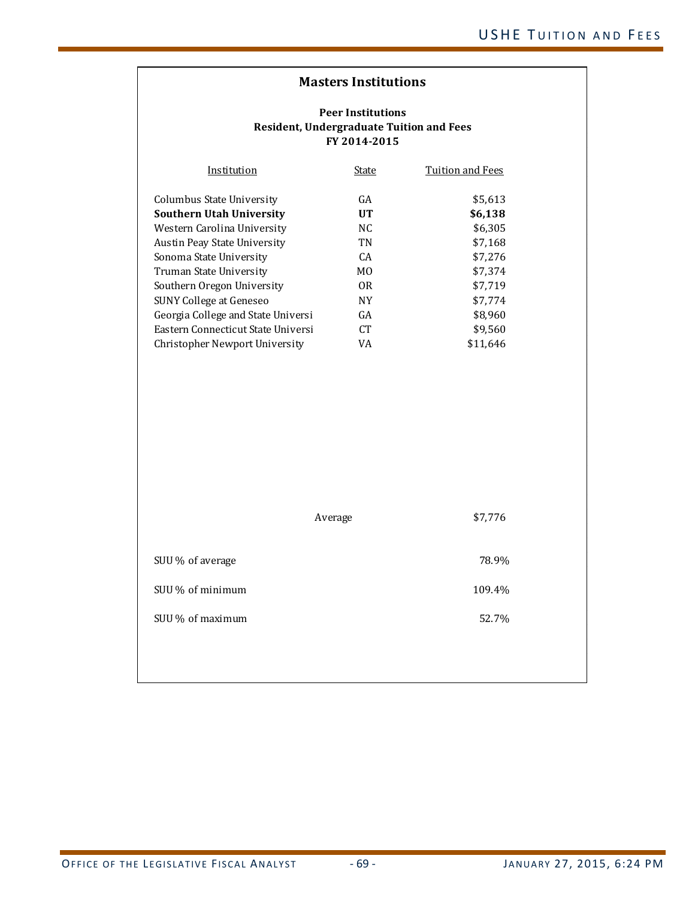| Institution                        | State           | <b>Tuition and Fees</b> |
|------------------------------------|-----------------|-------------------------|
| Columbus State University          | GA              | \$5,613                 |
| <b>Southern Utah University</b>    | UT              | \$6,138                 |
| Western Carolina University        | NC.             | \$6,305                 |
| Austin Peay State University       | TN              | \$7,168                 |
| Sonoma State University            | CA              | \$7,276                 |
| Truman State University            | M <sub>0</sub>  | \$7,374                 |
| Southern Oregon University         | 0R              | \$7,719                 |
| SUNY College at Geneseo            | NΥ              | \$7.774                 |
| Georgia College and State Universi | GA              | \$8.960                 |
| Eastern Connecticut State Universi | CT <sup>-</sup> | \$9,560                 |
| Christopher Newport University     | VA              | \$11.646                |

|                  | Average | \$7,776 |
|------------------|---------|---------|
| SUU % of average |         | 78.9%   |
| SUU % of minimum |         | 109.4%  |
| SUU % of maximum |         | 52.7%   |
|                  |         |         |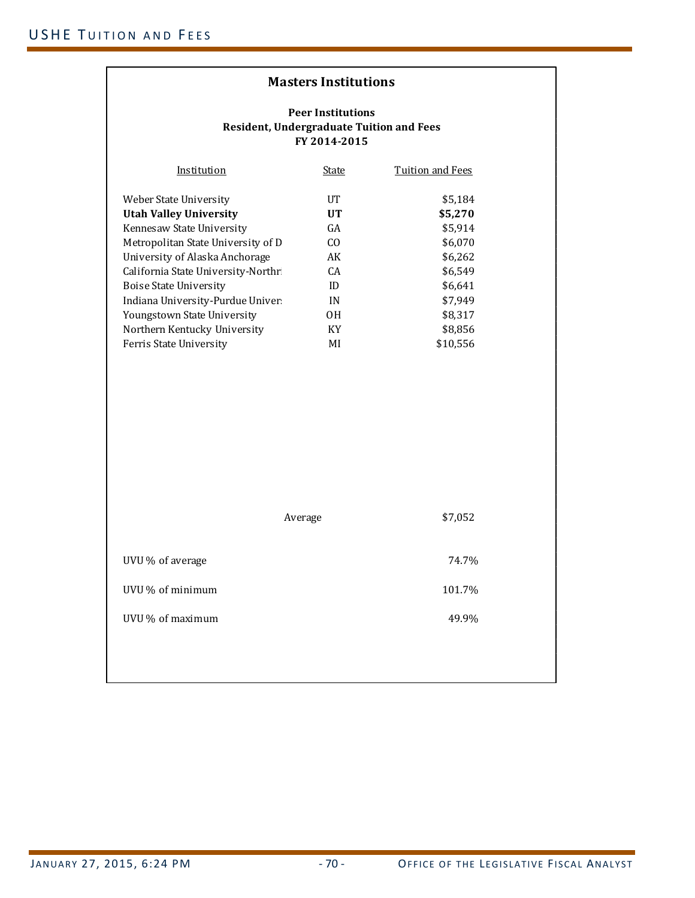#### **Peer Institutions Resident, Undergraduate Tuition and Fees FY 2014‐2015**

| Institution                         | State | Tuition and Fees |
|-------------------------------------|-------|------------------|
| Weber State University              | UT    | \$5.184          |
| <b>Utah Valley University</b>       | UT    | \$5,270          |
| Kennesaw State University           | GA    | \$5,914          |
| Metropolitan State University of D  | CO.   | \$6,070          |
| University of Alaska Anchorage      | AK    | \$6,262          |
| California State University-Northri | CA.   | \$6,549          |
| Boise State University              | ID    | \$6.641          |
| Indiana University-Purdue Univer    | IN    | \$7.949          |
| Youngstown State University         | 0H    | \$8,317          |
| Northern Kentucky University        | KY    | \$8,856          |
| Ferris State University             | MI    | \$10.556         |

|                  | Average | \$7,052 |
|------------------|---------|---------|
| UVU % of average |         | 74.7%   |
| UVU % of minimum |         | 101.7%  |
| UVU % of maximum |         | 49.9%   |
|                  |         |         |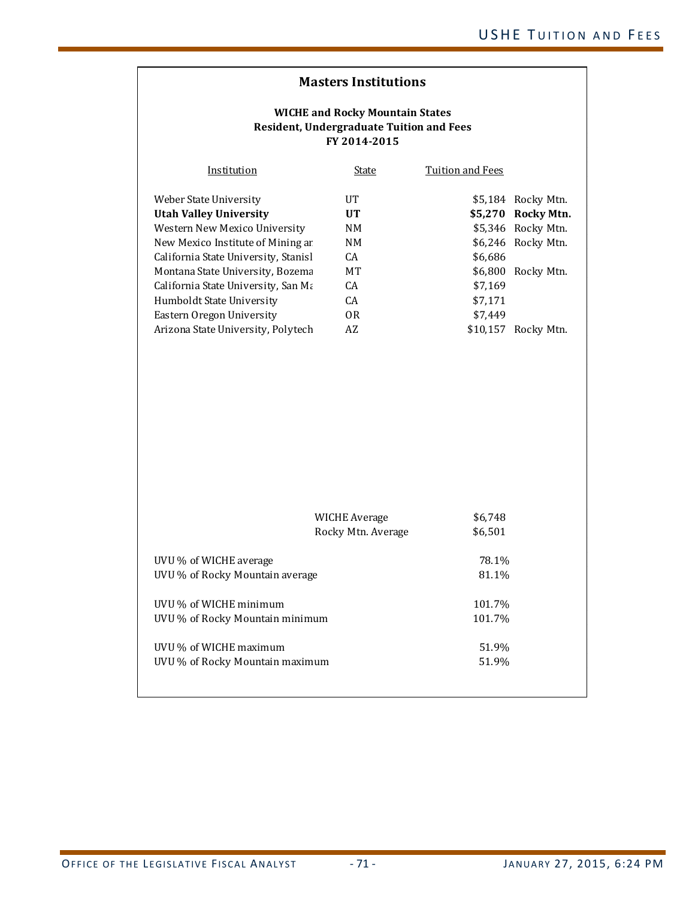#### **WICHE and Rocky Mountain States Resident, Undergraduate Tuition and Fees FY 2014‐2015**

| Institution                          | State          | Tuition and Fees |                    |
|--------------------------------------|----------------|------------------|--------------------|
| Weber State University               | UT             |                  | \$5,184 Rocky Mtn. |
| <b>Utah Valley University</b>        | UT             |                  | \$5,270 Rocky Mtn. |
| Western New Mexico University        | NM.            |                  | \$5,346 Rocky Mtn. |
| New Mexico Institute of Mining ar    | NM.            |                  | \$6,246 Rocky Mtn. |
| California State University, Stanisl | CA.            | \$6.686          |                    |
| Montana State University, Bozema     | MТ             | \$6.800          | Rocky Mtn.         |
| California State University, San Ma  | CA.            | \$7.169          |                    |
| Humboldt State University            | CA.            | \$7.171          |                    |
| Eastern Oregon University            | 0 <sub>R</sub> | \$7.449          |                    |
| Arizona State University, Polytech   | AZ             | \$10.157         | Rocky Mtn.         |

|                                                           | WICHE Average<br>Rocky Mtn. Average | \$6,748<br>\$6,501 |  |
|-----------------------------------------------------------|-------------------------------------|--------------------|--|
| UVU % of WICHE average<br>UVU % of Rocky Mountain average |                                     | 78.1%<br>81.1%     |  |
| UVU % of WICHE minimum<br>UVU % of Rocky Mountain minimum |                                     | 101.7%<br>101.7%   |  |
| UVU % of WICHE maximum<br>UVU % of Rocky Mountain maximum |                                     | 51.9%<br>51.9%     |  |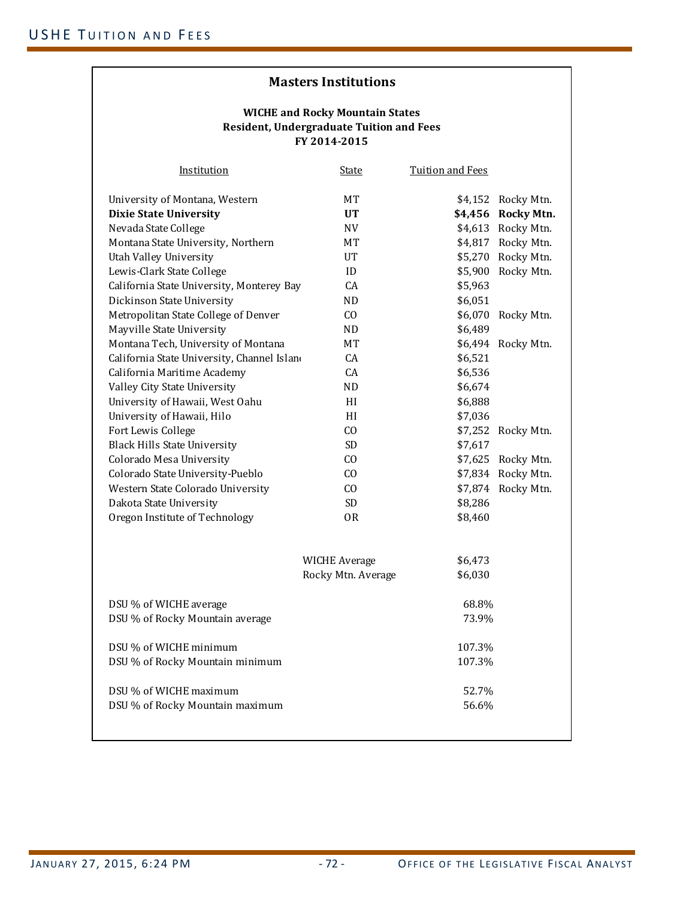#### **WICHE and Rocky Mountain States Resident, Undergraduate Tuition and Fees FY 2014‐2015**

| <b>Institution</b>                         | <b>State</b>         | <b>Tuition and Fees</b> |                    |
|--------------------------------------------|----------------------|-------------------------|--------------------|
| University of Montana, Western             | МT                   |                         | \$4,152 Rocky Mtn. |
| <b>Dixie State University</b>              | <b>UT</b>            |                         | \$4,456 Rocky Mtn. |
| Nevada State College                       | NV                   |                         | \$4,613 Rocky Mtn. |
| Montana State University, Northern         | MT                   |                         | \$4,817 Rocky Mtn. |
| Utah Valley University                     | UT                   |                         | \$5,270 Rocky Mtn. |
| Lewis-Clark State College                  | ID                   |                         | \$5,900 Rocky Mtn. |
| California State University, Monterey Bay  | <b>CA</b>            | \$5,963                 |                    |
| Dickinson State University                 | <b>ND</b>            | \$6,051                 |                    |
| Metropolitan State College of Denver       | CO                   | \$6,070                 | Rocky Mtn.         |
| Mayville State University                  | ND.                  | \$6,489                 |                    |
| Montana Tech, University of Montana        | МT                   | \$6,494                 | Rocky Mtn.         |
| California State University, Channel Islan | CA                   | \$6,521                 |                    |
| California Maritime Academy                | CA                   | \$6,536                 |                    |
| Valley City State University               | ND                   | \$6,674                 |                    |
| University of Hawaii, West Oahu            | HI                   | \$6,888                 |                    |
| University of Hawaii, Hilo                 | HI                   | \$7,036                 |                    |
| Fort Lewis College                         | CO                   |                         | \$7,252 Rocky Mtn. |
| <b>Black Hills State University</b>        | <b>SD</b>            | \$7,617                 |                    |
| Colorado Mesa University                   | CO                   |                         | \$7,625 Rocky Mtn. |
| Colorado State University-Pueblo           | CO                   |                         | \$7,834 Rocky Mtn. |
| Western State Colorado University          | CO                   |                         | \$7,874 Rocky Mtn. |
| Dakota State University                    | <b>SD</b>            | \$8,286                 |                    |
| Oregon Institute of Technology             | 0R                   | \$8,460                 |                    |
|                                            |                      |                         |                    |
|                                            | <b>WICHE Average</b> | \$6,473                 |                    |
|                                            | Rocky Mtn. Average   | \$6,030                 |                    |
| DSU % of WICHE average                     |                      | 68.8%                   |                    |
| DSU % of Rocky Mountain average            |                      | 73.9%                   |                    |
| DSU % of WICHE minimum                     |                      | 107.3%                  |                    |
| DSU % of Rocky Mountain minimum            |                      | 107.3%                  |                    |
| DSU % of WICHE maximum                     |                      | 52.7%                   |                    |
| DSU % of Rocky Mountain maximum            |                      | 56.6%                   |                    |
|                                            |                      |                         |                    |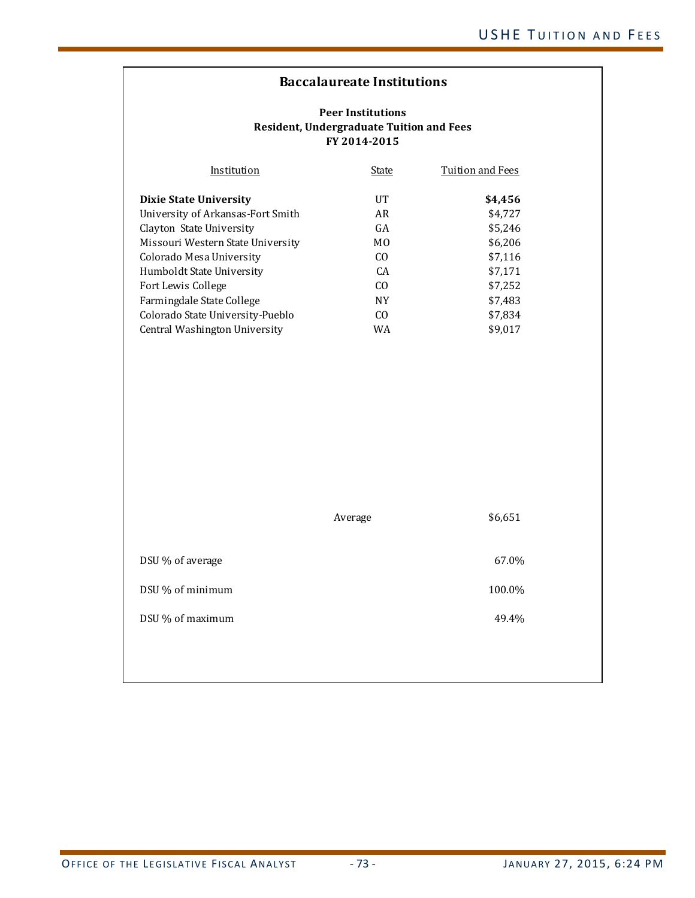# **Baccalaureate Institutions**

| Institution                       | State          | Tuition and Fees |
|-----------------------------------|----------------|------------------|
| <b>Dixie State University</b>     | $_{\rm IIT}$   | \$4,456          |
| University of Arkansas-Fort Smith | AR             | \$4,727          |
| Clayton State University          | GA             | \$5,246          |
| Missouri Western State University | M <sub>0</sub> | \$6,206          |
| Colorado Mesa University          | C <sub>O</sub> | \$7,116          |
| Humboldt State University         | CA             | \$7,171          |
| Fort Lewis College                | C <sub>O</sub> | \$7,252          |
| Farmingdale State College         | <b>NY</b>      | \$7,483          |
| Colorado State University-Pueblo  | C <sub>O</sub> | \$7,834          |
| Central Washington University     | WA             | \$9,017          |

|                  | Average | \$6,651 |
|------------------|---------|---------|
| DSU % of average |         | 67.0%   |
| DSU % of minimum |         | 100.0%  |
| DSU % of maximum |         | 49.4%   |
|                  |         |         |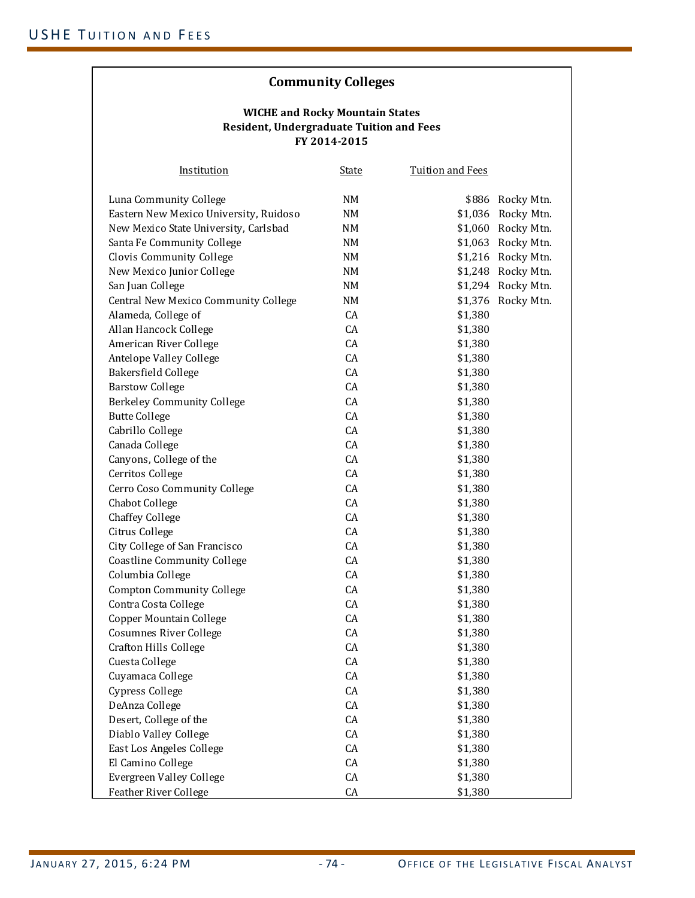# **Community Colleges**

#### **WICHE and Rocky Mountain States Resident, Undergraduate Tuition and Fees FY 2014‐2015**

| Institution                            | <b>State</b> | <b>Tuition and Fees</b> |                    |
|----------------------------------------|--------------|-------------------------|--------------------|
| Luna Community College                 | NM           |                         | \$886 Rocky Mtn.   |
| Eastern New Mexico University, Ruidoso | NM           |                         | \$1,036 Rocky Mtn. |
| New Mexico State University, Carlsbad  | NM           |                         | \$1,060 Rocky Mtn. |
| Santa Fe Community College             | NM           |                         | \$1,063 Rocky Mtn. |
| Clovis Community College               | NM           |                         | \$1,216 Rocky Mtn. |
| New Mexico Junior College              | NM           |                         | \$1,248 Rocky Mtn. |
| San Juan College                       | NM           | \$1,294                 | Rocky Mtn.         |
| Central New Mexico Community College   | NM           | \$1,376                 | Rocky Mtn.         |
| Alameda, College of                    | CA           | \$1,380                 |                    |
| Allan Hancock College                  | CA           | \$1,380                 |                    |
| American River College                 | CA           | \$1,380                 |                    |
| Antelope Valley College                | CA           | \$1,380                 |                    |
| Bakersfield College                    | CA           | \$1,380                 |                    |
| <b>Barstow College</b>                 | CA           | \$1,380                 |                    |
| Berkeley Community College             | <b>CA</b>    | \$1,380                 |                    |
| <b>Butte College</b>                   | CA           | \$1,380                 |                    |
| Cabrillo College                       | CA           | \$1,380                 |                    |
| Canada College                         | CA           | \$1,380                 |                    |
| Canyons, College of the                | CA           | \$1,380                 |                    |
| Cerritos College                       | CA           | \$1,380                 |                    |
| Cerro Coso Community College           | CA           | \$1,380                 |                    |
| Chabot College                         | CA           | \$1,380                 |                    |
| <b>Chaffey College</b>                 | CA           | \$1,380                 |                    |
| Citrus College                         | CA           | \$1,380                 |                    |
| City College of San Francisco          | CA           | \$1,380                 |                    |
| <b>Coastline Community College</b>     | CA           | \$1,380                 |                    |
| Columbia College                       | CA           | \$1,380                 |                    |
| <b>Compton Community College</b>       | CA           | \$1,380                 |                    |
| Contra Costa College                   | CA           | \$1,380                 |                    |
| Copper Mountain College                | CA           | \$1,380                 |                    |
| Cosumnes River College                 | CA           | \$1,380                 |                    |
| <b>Crafton Hills College</b>           | CA           | \$1,380                 |                    |
| Cuesta College                         | CA           | \$1,380                 |                    |
| Cuyamaca College                       | CA           | \$1,380                 |                    |
| Cypress College                        | CA           | \$1,380                 |                    |
| DeAnza College                         | CA           | \$1,380                 |                    |
| Desert, College of the                 | CA           | \$1,380                 |                    |
| Diablo Valley College                  | CA           | \$1,380                 |                    |
| East Los Angeles College               | CA           | \$1,380                 |                    |
| El Camino College                      | CA           | \$1,380                 |                    |
| <b>Evergreen Valley College</b>        | CA           | \$1,380                 |                    |
| <b>Feather River College</b>           | CA           | \$1,380                 |                    |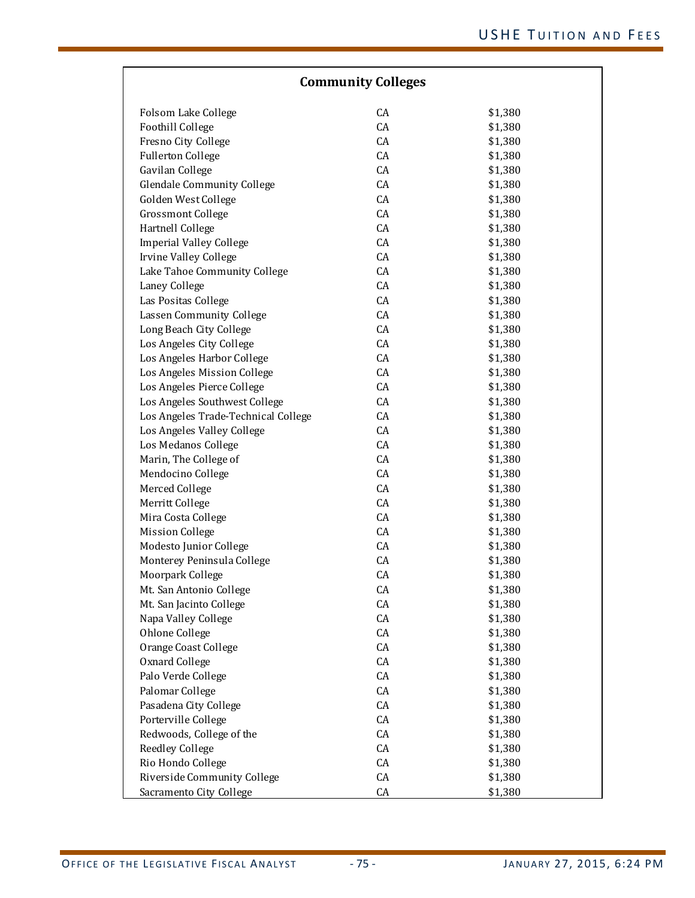| <b>Community Colleges</b>           |    |         |  |
|-------------------------------------|----|---------|--|
| Folsom Lake College                 | CA | \$1,380 |  |
| Foothill College                    | CA | \$1,380 |  |
| Fresno City College                 | CA | \$1,380 |  |
| <b>Fullerton College</b>            | CA | \$1,380 |  |
| Gavilan College                     | CA | \$1,380 |  |
| <b>Glendale Community College</b>   | CA | \$1,380 |  |
| Golden West College                 | CA | \$1,380 |  |
| <b>Grossmont College</b>            | CA | \$1,380 |  |
| Hartnell College                    | CA | \$1,380 |  |
| <b>Imperial Valley College</b>      | CA | \$1,380 |  |
| Irvine Valley College               | CA | \$1,380 |  |
| Lake Tahoe Community College        | CA | \$1,380 |  |
| Laney College                       | CA | \$1,380 |  |
| Las Positas College                 | CA | \$1,380 |  |
| Lassen Community College            | CA | \$1,380 |  |
| Long Beach City College             | CA | \$1,380 |  |
| Los Angeles City College            | CA | \$1,380 |  |
| Los Angeles Harbor College          | CA | \$1,380 |  |
| Los Angeles Mission College         | CA | \$1,380 |  |
| Los Angeles Pierce College          | CA | \$1,380 |  |
| Los Angeles Southwest College       | CA | \$1,380 |  |
| Los Angeles Trade-Technical College | CA | \$1,380 |  |
| Los Angeles Valley College          | CA | \$1,380 |  |
| Los Medanos College                 | CA | \$1,380 |  |
| Marin, The College of               | CA | \$1,380 |  |
| Mendocino College                   | CA | \$1,380 |  |
| Merced College                      | CA | \$1,380 |  |
| Merritt College                     | CA | \$1,380 |  |
| Mira Costa College                  | CA | \$1,380 |  |
| <b>Mission College</b>              | CA | \$1,380 |  |
| Modesto Junior College              | CA | \$1,380 |  |
| Monterey Peninsula College          | CA | \$1,380 |  |
| Moorpark College                    | CA | \$1,380 |  |
| Mt. San Antonio College             | CA | \$1,380 |  |
| Mt. San Jacinto College             | CA | \$1,380 |  |
| Napa Valley College                 | CA | \$1,380 |  |
| Ohlone College                      | CA | \$1,380 |  |
| Orange Coast College                | CA | \$1,380 |  |
| Oxnard College                      | CA | \$1,380 |  |
| Palo Verde College                  | CA | \$1,380 |  |
| Palomar College                     | CA | \$1,380 |  |
| Pasadena City College               | CA | \$1,380 |  |
| Porterville College                 | CA | \$1,380 |  |
| Redwoods, College of the            | CA | \$1,380 |  |
| Reedley College                     | CA | \$1,380 |  |
| Rio Hondo College                   | CA | \$1,380 |  |
| Riverside Community College         | CA |         |  |
|                                     |    | \$1,380 |  |
| Sacramento City College             | CA | \$1,380 |  |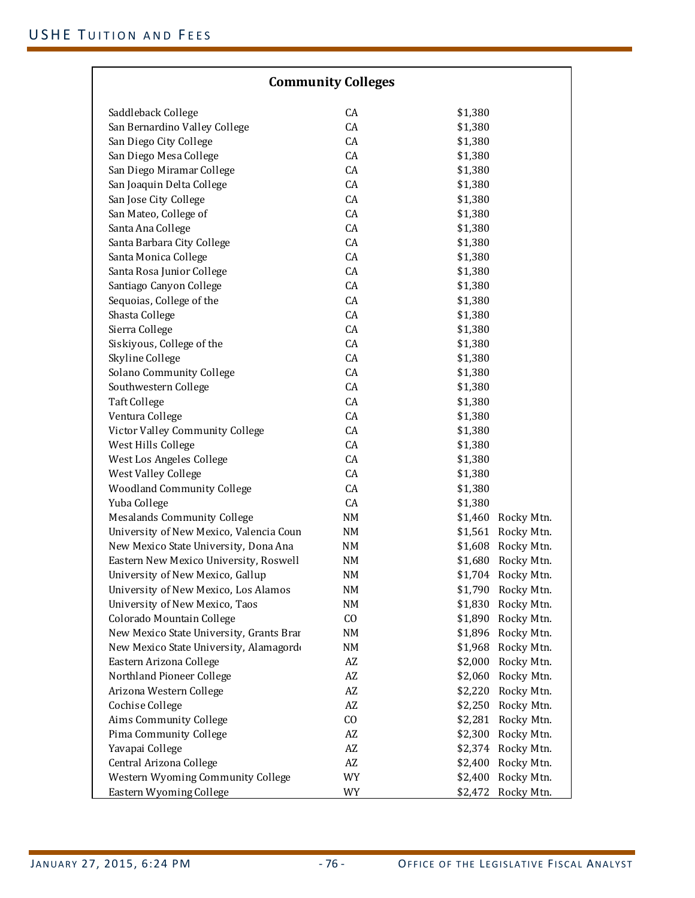| <b>Community Colleges</b>                |                        |                       |  |  |
|------------------------------------------|------------------------|-----------------------|--|--|
|                                          |                        |                       |  |  |
| Saddleback College                       | CA                     | \$1,380               |  |  |
| San Bernardino Valley College            | CA                     | \$1,380               |  |  |
| San Diego City College                   | CA                     | \$1,380               |  |  |
| San Diego Mesa College                   | CA                     | \$1,380               |  |  |
| San Diego Miramar College                | CA                     | \$1,380               |  |  |
| San Joaquin Delta College                | CA                     | \$1,380               |  |  |
| San Jose City College                    | CA                     | \$1,380               |  |  |
| San Mateo, College of                    | CA                     | \$1,380               |  |  |
| Santa Ana College                        | CA                     | \$1,380               |  |  |
| Santa Barbara City College               | CA                     | \$1,380               |  |  |
| Santa Monica College                     | CA                     | \$1,380               |  |  |
| Santa Rosa Junior College                | CA                     | \$1,380               |  |  |
| Santiago Canyon College                  | CA                     | \$1,380               |  |  |
| Sequoias, College of the                 | CA                     | \$1,380               |  |  |
| Shasta College                           | CA                     | \$1,380               |  |  |
| Sierra College                           | CA                     | \$1,380               |  |  |
| Siskiyous, College of the                | CA                     | \$1,380               |  |  |
| Skyline College                          | CA                     | \$1,380               |  |  |
| Solano Community College                 | CA                     | \$1,380               |  |  |
| Southwestern College                     | CA                     | \$1,380               |  |  |
| <b>Taft College</b>                      | CA                     | \$1,380               |  |  |
| Ventura College                          | CA                     | \$1,380               |  |  |
| Victor Valley Community College          | CA                     | \$1,380               |  |  |
| West Hills College                       | CA                     | \$1,380               |  |  |
| West Los Angeles College                 | CA                     | \$1,380               |  |  |
| West Valley College                      | CA                     | \$1,380               |  |  |
| <b>Woodland Community College</b>        | CA                     | \$1,380               |  |  |
| Yuba College                             | CA                     | \$1,380               |  |  |
| <b>Mesalands Community College</b>       | NM                     | \$1,460 Rocky Mtn.    |  |  |
| University of New Mexico, Valencia Coun  | NM                     | \$1,561 Rocky Mtn.    |  |  |
| New Mexico State University, Dona Ana    | NM                     | \$1,608<br>Rocky Mtn. |  |  |
| Eastern New Mexico University, Roswell   | NM                     | \$1,680<br>Rocky Mtn. |  |  |
| University of New Mexico, Gallup         | NM                     | \$1,704<br>Rocky Mtn. |  |  |
| University of New Mexico, Los Alamos     | NM                     | \$1,790<br>Rocky Mtn. |  |  |
| University of New Mexico, Taos           | NM                     | \$1,830<br>Rocky Mtn. |  |  |
| Colorado Mountain College                | CO                     | Rocky Mtn.<br>\$1,890 |  |  |
| New Mexico State University, Grants Brar | NM                     | \$1,896 Rocky Mtn.    |  |  |
| New Mexico State University, Alamagord   | NM                     | \$1,968<br>Rocky Mtn. |  |  |
| Eastern Arizona College                  | AZ                     | \$2,000<br>Rocky Mtn. |  |  |
| Northland Pioneer College                | AZ                     | Rocky Mtn.<br>\$2,060 |  |  |
| Arizona Western College                  | AZ                     | Rocky Mtn.<br>\$2,220 |  |  |
| Cochise College                          | $\mathbf{A}\mathbf{Z}$ | \$2,250<br>Rocky Mtn. |  |  |
| Aims Community College                   | CO                     | \$2,281<br>Rocky Mtn. |  |  |
| Pima Community College                   | $\mathbf{A}\mathbf{Z}$ | Rocky Mtn.<br>\$2,300 |  |  |
| Yavapai College                          | AZ                     | \$2,374 Rocky Mtn.    |  |  |
| Central Arizona College                  | $\mathbf{A}\mathbf{Z}$ | \$2,400<br>Rocky Mtn. |  |  |
| Western Wyoming Community College        | WY                     | Rocky Mtn.<br>\$2,400 |  |  |
| Eastern Wyoming College                  | WY                     | Rocky Mtn.<br>\$2,472 |  |  |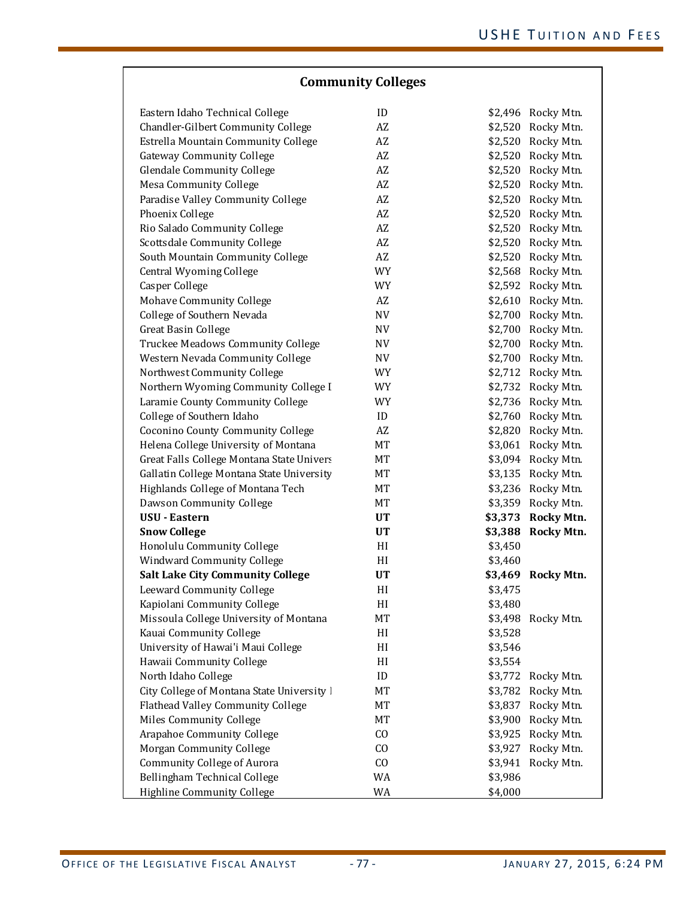|  | <b>Community Colleges</b> |  |  |  |
|--|---------------------------|--|--|--|
|--|---------------------------|--|--|--|

| Eastern Idaho Technical College            | ID                     |         | \$2,496 Rocky Mtn. |
|--------------------------------------------|------------------------|---------|--------------------|
| Chandler-Gilbert Community College         | AZ                     |         | \$2,520 Rocky Mtn. |
| Estrella Mountain Community College        | $\mathbf{A}\mathbf{Z}$ |         | \$2,520 Rocky Mtn. |
| <b>Gateway Community College</b>           | AZ                     |         | \$2,520 Rocky Mtn. |
| <b>Glendale Community College</b>          | AZ                     |         | \$2,520 Rocky Mtn. |
| <b>Mesa Community College</b>              | AZ                     |         | \$2,520 Rocky Mtn. |
| Paradise Valley Community College          | $\mathbf{A}\mathbf{Z}$ |         | \$2,520 Rocky Mtn. |
| Phoenix College                            | AZ                     |         | \$2,520 Rocky Mtn. |
| Rio Salado Community College               | $\mathbf{A}\mathbf{Z}$ |         | \$2,520 Rocky Mtn. |
| Scottsdale Community College               | $\mathbf{A}\mathbf{Z}$ |         | \$2,520 Rocky Mtn. |
| South Mountain Community College           | $\mathbf{A}\mathbf{Z}$ | \$2,520 | Rocky Mtn.         |
| Central Wyoming College                    | <b>WY</b>              |         | \$2,568 Rocky Mtn. |
| Casper College                             | <b>WY</b>              |         | \$2,592 Rocky Mtn. |
| Mohave Community College                   | AZ                     |         | \$2,610 Rocky Mtn. |
| College of Southern Nevada                 | $\hbox{NV}$            |         | \$2,700 Rocky Mtn. |
| <b>Great Basin College</b>                 | NV                     |         | \$2,700 Rocky Mtn. |
| Truckee Meadows Community College          | NV                     |         | \$2,700 Rocky Mtn. |
| Western Nevada Community College           | NV                     |         | \$2,700 Rocky Mtn. |
| Northwest Community College                | WY                     | \$2,712 | Rocky Mtn.         |
| Northern Wyoming Community College I       | WY                     | \$2,732 | Rocky Mtn.         |
| Laramie County Community College           | <b>WY</b>              |         | \$2,736 Rocky Mtn. |
| College of Southern Idaho                  | $\mathbf{ID}$          |         | \$2,760 Rocky Mtn. |
| Coconino County Community College          | AZ                     |         | \$2,820 Rocky Mtn. |
| Helena College University of Montana       | МT                     |         | \$3,061 Rocky Mtn. |
| Great Falls College Montana State Univers  | MT                     |         | \$3,094 Rocky Mtn. |
| Gallatin College Montana State University  | MT                     |         | \$3,135 Rocky Mtn. |
| Highlands College of Montana Tech          | МT                     | \$3,236 | Rocky Mtn.         |
| Dawson Community College                   | МT                     | \$3,359 | Rocky Mtn.         |
| <b>USU - Eastern</b>                       | UT                     | \$3,373 | Rocky Mtn.         |
| <b>Snow College</b>                        | UT                     | \$3,388 | <b>Rocky Mtn.</b>  |
| Honolulu Community College                 | HI                     | \$3,450 |                    |
| Windward Community College                 | HI                     | \$3,460 |                    |
| <b>Salt Lake City Community College</b>    | UT                     |         | \$3,469 Rocky Mtn. |
| Leeward Community College                  | HI                     | \$3,475 |                    |
| Kapiolani Community College                | H                      | \$3,480 |                    |
| Missoula College University of Montana     | МT                     |         | \$3,498 Rocky Mtn. |
| Kauai Community College                    | HI                     | \$3,528 |                    |
| University of Hawai'i Maui College         | HI                     | \$3,546 |                    |
| Hawaii Community College                   | HI                     | \$3,554 |                    |
| North Idaho College                        | ID                     |         | \$3,772 Rocky Mtn. |
| City College of Montana State University I | MT                     |         | \$3,782 Rocky Mtn. |
| Flathead Valley Community College          | MT                     | \$3,837 | Rocky Mtn.         |
| Miles Community College                    | MT                     | \$3,900 | Rocky Mtn.         |
| Arapahoe Community College                 | CO                     | \$3,925 | Rocky Mtn.         |
| Morgan Community College                   | CO                     | \$3,927 | Rocky Mtn.         |
| Community College of Aurora                | CO                     | \$3,941 | Rocky Mtn.         |
| Bellingham Technical College               | WA                     | \$3,986 |                    |
|                                            |                        |         |                    |
| Highline Community College                 | WA                     | \$4,000 |                    |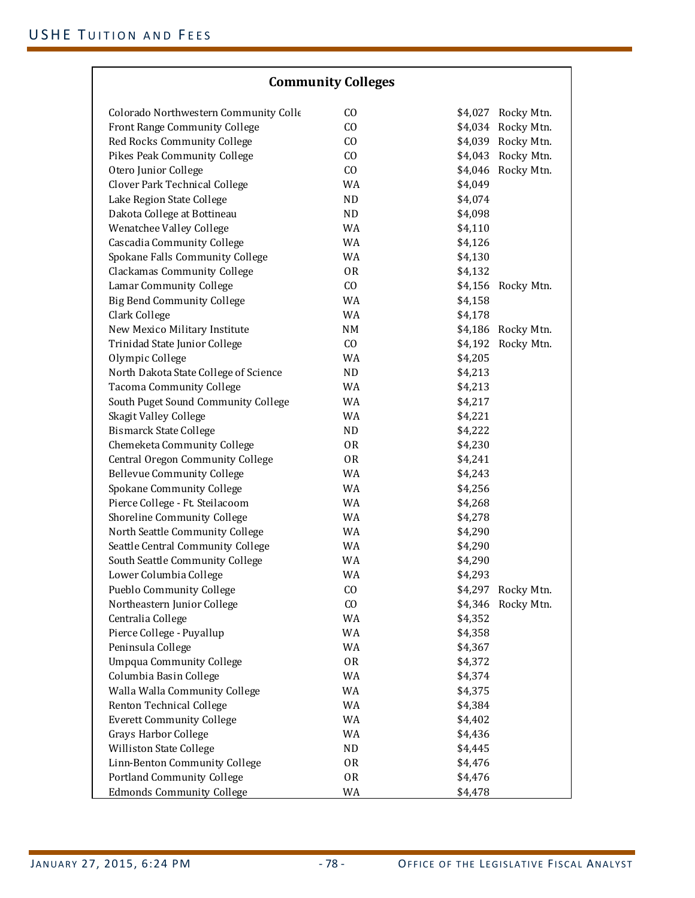| <b>Community Colleges</b> |  |
|---------------------------|--|
|                           |  |

| Colorado Northwestern Community Colle<br>C <sub>O</sub><br>\$4,027 Rocky Mtn.<br>CO<br>Front Range Community College<br>\$4,034 Rocky Mtn.<br>Red Rocks Community College<br>CO<br>\$4,039 Rocky Mtn.<br>Pikes Peak Community College<br>CO<br>\$4,043 Rocky Mtn.<br>Otero Junior College<br>CO<br>\$4,046 Rocky Mtn.<br>Clover Park Technical College<br>WA<br>\$4,049<br>ND<br>Lake Region State College<br>\$4,074<br>Dakota College at Bottineau<br>ND<br>\$4,098<br>WA<br>Wenatchee Valley College<br>\$4,110<br>Cascadia Community College<br>WA<br>\$4,126<br>Spokane Falls Community College<br>WA<br>\$4,130<br><b>Clackamas Community College</b><br><b>OR</b><br>\$4,132<br>Lamar Community College<br>CO<br>\$4,156 Rocky Mtn.<br><b>Big Bend Community College</b><br>WA<br>\$4,158<br>WA<br>Clark College<br>\$4,178<br>NM<br>New Mexico Military Institute<br>\$4,186 Rocky Mtn.<br>Trinidad State Junior College<br>CO<br>Rocky Mtn.<br>\$4,192<br>Olympic College<br>WA<br>\$4,205<br>North Dakota State College of Science<br>ND<br>\$4,213<br><b>Tacoma Community College</b><br>WA<br>\$4,213<br>South Puget Sound Community College<br>WA<br>\$4,217<br>Skagit Valley College<br>WA<br>\$4,221<br><b>Bismarck State College</b><br>ND<br>\$4,222<br>Chemeketa Community College<br><b>OR</b><br>\$4,230<br>Central Oregon Community College<br>0R<br>\$4,241<br><b>Bellevue Community College</b><br>WA<br>\$4,243<br>Spokane Community College<br>WA<br>\$4,256<br>Pierce College - Ft. Steilacoom<br>WA<br>\$4,268<br>WA<br>Shoreline Community College<br>\$4,278<br>WA<br>\$4,290<br>North Seattle Community College<br>Seattle Central Community College<br>WA<br>\$4,290<br>South Seattle Community College<br>WA<br>\$4,290<br>Lower Columbia College<br>WA<br>\$4,293<br>Pueblo Community College<br>CO<br>\$4,297 Rocky Mtn.<br>C <sub>O</sub><br>\$4,346 Rocky Mtn.<br>Northeastern Junior College<br>\$4,352<br>Centralia College<br>WA<br>Pierce College - Puyallup<br>WA<br>\$4,358<br>Peninsula College<br>WA<br>\$4,367<br><b>Umpqua Community College</b><br>0R<br>\$4,372<br>Columbia Basin College<br>WA<br>\$4,374<br>Walla Walla Community College<br>WA<br>\$4,375<br>Renton Technical College<br>WA<br>\$4,384<br>WA<br><b>Everett Community College</b><br>\$4,402<br><b>Grays Harbor College</b><br>WA<br>\$4,436<br>Williston State College<br>\$4,445<br>ND<br>Linn-Benton Community College<br>0R<br>\$4,476<br>Portland Community College<br>0R<br>\$4,476<br><b>Edmonds Community College</b><br>WA<br>\$4,478 |  |  |  |
|------------------------------------------------------------------------------------------------------------------------------------------------------------------------------------------------------------------------------------------------------------------------------------------------------------------------------------------------------------------------------------------------------------------------------------------------------------------------------------------------------------------------------------------------------------------------------------------------------------------------------------------------------------------------------------------------------------------------------------------------------------------------------------------------------------------------------------------------------------------------------------------------------------------------------------------------------------------------------------------------------------------------------------------------------------------------------------------------------------------------------------------------------------------------------------------------------------------------------------------------------------------------------------------------------------------------------------------------------------------------------------------------------------------------------------------------------------------------------------------------------------------------------------------------------------------------------------------------------------------------------------------------------------------------------------------------------------------------------------------------------------------------------------------------------------------------------------------------------------------------------------------------------------------------------------------------------------------------------------------------------------------------------------------------------------------------------------------------------------------------------------------------------------------------------------------------------------------------------------------------------------------------------------------------------------------------------------------------------------------------------------------------------------------------------------------------------------------------------------------------------------------------------------------------------------------|--|--|--|
|                                                                                                                                                                                                                                                                                                                                                                                                                                                                                                                                                                                                                                                                                                                                                                                                                                                                                                                                                                                                                                                                                                                                                                                                                                                                                                                                                                                                                                                                                                                                                                                                                                                                                                                                                                                                                                                                                                                                                                                                                                                                                                                                                                                                                                                                                                                                                                                                                                                                                                                                                                  |  |  |  |
|                                                                                                                                                                                                                                                                                                                                                                                                                                                                                                                                                                                                                                                                                                                                                                                                                                                                                                                                                                                                                                                                                                                                                                                                                                                                                                                                                                                                                                                                                                                                                                                                                                                                                                                                                                                                                                                                                                                                                                                                                                                                                                                                                                                                                                                                                                                                                                                                                                                                                                                                                                  |  |  |  |
|                                                                                                                                                                                                                                                                                                                                                                                                                                                                                                                                                                                                                                                                                                                                                                                                                                                                                                                                                                                                                                                                                                                                                                                                                                                                                                                                                                                                                                                                                                                                                                                                                                                                                                                                                                                                                                                                                                                                                                                                                                                                                                                                                                                                                                                                                                                                                                                                                                                                                                                                                                  |  |  |  |
|                                                                                                                                                                                                                                                                                                                                                                                                                                                                                                                                                                                                                                                                                                                                                                                                                                                                                                                                                                                                                                                                                                                                                                                                                                                                                                                                                                                                                                                                                                                                                                                                                                                                                                                                                                                                                                                                                                                                                                                                                                                                                                                                                                                                                                                                                                                                                                                                                                                                                                                                                                  |  |  |  |
|                                                                                                                                                                                                                                                                                                                                                                                                                                                                                                                                                                                                                                                                                                                                                                                                                                                                                                                                                                                                                                                                                                                                                                                                                                                                                                                                                                                                                                                                                                                                                                                                                                                                                                                                                                                                                                                                                                                                                                                                                                                                                                                                                                                                                                                                                                                                                                                                                                                                                                                                                                  |  |  |  |
|                                                                                                                                                                                                                                                                                                                                                                                                                                                                                                                                                                                                                                                                                                                                                                                                                                                                                                                                                                                                                                                                                                                                                                                                                                                                                                                                                                                                                                                                                                                                                                                                                                                                                                                                                                                                                                                                                                                                                                                                                                                                                                                                                                                                                                                                                                                                                                                                                                                                                                                                                                  |  |  |  |
|                                                                                                                                                                                                                                                                                                                                                                                                                                                                                                                                                                                                                                                                                                                                                                                                                                                                                                                                                                                                                                                                                                                                                                                                                                                                                                                                                                                                                                                                                                                                                                                                                                                                                                                                                                                                                                                                                                                                                                                                                                                                                                                                                                                                                                                                                                                                                                                                                                                                                                                                                                  |  |  |  |
|                                                                                                                                                                                                                                                                                                                                                                                                                                                                                                                                                                                                                                                                                                                                                                                                                                                                                                                                                                                                                                                                                                                                                                                                                                                                                                                                                                                                                                                                                                                                                                                                                                                                                                                                                                                                                                                                                                                                                                                                                                                                                                                                                                                                                                                                                                                                                                                                                                                                                                                                                                  |  |  |  |
|                                                                                                                                                                                                                                                                                                                                                                                                                                                                                                                                                                                                                                                                                                                                                                                                                                                                                                                                                                                                                                                                                                                                                                                                                                                                                                                                                                                                                                                                                                                                                                                                                                                                                                                                                                                                                                                                                                                                                                                                                                                                                                                                                                                                                                                                                                                                                                                                                                                                                                                                                                  |  |  |  |
|                                                                                                                                                                                                                                                                                                                                                                                                                                                                                                                                                                                                                                                                                                                                                                                                                                                                                                                                                                                                                                                                                                                                                                                                                                                                                                                                                                                                                                                                                                                                                                                                                                                                                                                                                                                                                                                                                                                                                                                                                                                                                                                                                                                                                                                                                                                                                                                                                                                                                                                                                                  |  |  |  |
|                                                                                                                                                                                                                                                                                                                                                                                                                                                                                                                                                                                                                                                                                                                                                                                                                                                                                                                                                                                                                                                                                                                                                                                                                                                                                                                                                                                                                                                                                                                                                                                                                                                                                                                                                                                                                                                                                                                                                                                                                                                                                                                                                                                                                                                                                                                                                                                                                                                                                                                                                                  |  |  |  |
|                                                                                                                                                                                                                                                                                                                                                                                                                                                                                                                                                                                                                                                                                                                                                                                                                                                                                                                                                                                                                                                                                                                                                                                                                                                                                                                                                                                                                                                                                                                                                                                                                                                                                                                                                                                                                                                                                                                                                                                                                                                                                                                                                                                                                                                                                                                                                                                                                                                                                                                                                                  |  |  |  |
|                                                                                                                                                                                                                                                                                                                                                                                                                                                                                                                                                                                                                                                                                                                                                                                                                                                                                                                                                                                                                                                                                                                                                                                                                                                                                                                                                                                                                                                                                                                                                                                                                                                                                                                                                                                                                                                                                                                                                                                                                                                                                                                                                                                                                                                                                                                                                                                                                                                                                                                                                                  |  |  |  |
|                                                                                                                                                                                                                                                                                                                                                                                                                                                                                                                                                                                                                                                                                                                                                                                                                                                                                                                                                                                                                                                                                                                                                                                                                                                                                                                                                                                                                                                                                                                                                                                                                                                                                                                                                                                                                                                                                                                                                                                                                                                                                                                                                                                                                                                                                                                                                                                                                                                                                                                                                                  |  |  |  |
|                                                                                                                                                                                                                                                                                                                                                                                                                                                                                                                                                                                                                                                                                                                                                                                                                                                                                                                                                                                                                                                                                                                                                                                                                                                                                                                                                                                                                                                                                                                                                                                                                                                                                                                                                                                                                                                                                                                                                                                                                                                                                                                                                                                                                                                                                                                                                                                                                                                                                                                                                                  |  |  |  |
|                                                                                                                                                                                                                                                                                                                                                                                                                                                                                                                                                                                                                                                                                                                                                                                                                                                                                                                                                                                                                                                                                                                                                                                                                                                                                                                                                                                                                                                                                                                                                                                                                                                                                                                                                                                                                                                                                                                                                                                                                                                                                                                                                                                                                                                                                                                                                                                                                                                                                                                                                                  |  |  |  |
|                                                                                                                                                                                                                                                                                                                                                                                                                                                                                                                                                                                                                                                                                                                                                                                                                                                                                                                                                                                                                                                                                                                                                                                                                                                                                                                                                                                                                                                                                                                                                                                                                                                                                                                                                                                                                                                                                                                                                                                                                                                                                                                                                                                                                                                                                                                                                                                                                                                                                                                                                                  |  |  |  |
|                                                                                                                                                                                                                                                                                                                                                                                                                                                                                                                                                                                                                                                                                                                                                                                                                                                                                                                                                                                                                                                                                                                                                                                                                                                                                                                                                                                                                                                                                                                                                                                                                                                                                                                                                                                                                                                                                                                                                                                                                                                                                                                                                                                                                                                                                                                                                                                                                                                                                                                                                                  |  |  |  |
|                                                                                                                                                                                                                                                                                                                                                                                                                                                                                                                                                                                                                                                                                                                                                                                                                                                                                                                                                                                                                                                                                                                                                                                                                                                                                                                                                                                                                                                                                                                                                                                                                                                                                                                                                                                                                                                                                                                                                                                                                                                                                                                                                                                                                                                                                                                                                                                                                                                                                                                                                                  |  |  |  |
|                                                                                                                                                                                                                                                                                                                                                                                                                                                                                                                                                                                                                                                                                                                                                                                                                                                                                                                                                                                                                                                                                                                                                                                                                                                                                                                                                                                                                                                                                                                                                                                                                                                                                                                                                                                                                                                                                                                                                                                                                                                                                                                                                                                                                                                                                                                                                                                                                                                                                                                                                                  |  |  |  |
|                                                                                                                                                                                                                                                                                                                                                                                                                                                                                                                                                                                                                                                                                                                                                                                                                                                                                                                                                                                                                                                                                                                                                                                                                                                                                                                                                                                                                                                                                                                                                                                                                                                                                                                                                                                                                                                                                                                                                                                                                                                                                                                                                                                                                                                                                                                                                                                                                                                                                                                                                                  |  |  |  |
|                                                                                                                                                                                                                                                                                                                                                                                                                                                                                                                                                                                                                                                                                                                                                                                                                                                                                                                                                                                                                                                                                                                                                                                                                                                                                                                                                                                                                                                                                                                                                                                                                                                                                                                                                                                                                                                                                                                                                                                                                                                                                                                                                                                                                                                                                                                                                                                                                                                                                                                                                                  |  |  |  |
|                                                                                                                                                                                                                                                                                                                                                                                                                                                                                                                                                                                                                                                                                                                                                                                                                                                                                                                                                                                                                                                                                                                                                                                                                                                                                                                                                                                                                                                                                                                                                                                                                                                                                                                                                                                                                                                                                                                                                                                                                                                                                                                                                                                                                                                                                                                                                                                                                                                                                                                                                                  |  |  |  |
|                                                                                                                                                                                                                                                                                                                                                                                                                                                                                                                                                                                                                                                                                                                                                                                                                                                                                                                                                                                                                                                                                                                                                                                                                                                                                                                                                                                                                                                                                                                                                                                                                                                                                                                                                                                                                                                                                                                                                                                                                                                                                                                                                                                                                                                                                                                                                                                                                                                                                                                                                                  |  |  |  |
|                                                                                                                                                                                                                                                                                                                                                                                                                                                                                                                                                                                                                                                                                                                                                                                                                                                                                                                                                                                                                                                                                                                                                                                                                                                                                                                                                                                                                                                                                                                                                                                                                                                                                                                                                                                                                                                                                                                                                                                                                                                                                                                                                                                                                                                                                                                                                                                                                                                                                                                                                                  |  |  |  |
|                                                                                                                                                                                                                                                                                                                                                                                                                                                                                                                                                                                                                                                                                                                                                                                                                                                                                                                                                                                                                                                                                                                                                                                                                                                                                                                                                                                                                                                                                                                                                                                                                                                                                                                                                                                                                                                                                                                                                                                                                                                                                                                                                                                                                                                                                                                                                                                                                                                                                                                                                                  |  |  |  |
|                                                                                                                                                                                                                                                                                                                                                                                                                                                                                                                                                                                                                                                                                                                                                                                                                                                                                                                                                                                                                                                                                                                                                                                                                                                                                                                                                                                                                                                                                                                                                                                                                                                                                                                                                                                                                                                                                                                                                                                                                                                                                                                                                                                                                                                                                                                                                                                                                                                                                                                                                                  |  |  |  |
|                                                                                                                                                                                                                                                                                                                                                                                                                                                                                                                                                                                                                                                                                                                                                                                                                                                                                                                                                                                                                                                                                                                                                                                                                                                                                                                                                                                                                                                                                                                                                                                                                                                                                                                                                                                                                                                                                                                                                                                                                                                                                                                                                                                                                                                                                                                                                                                                                                                                                                                                                                  |  |  |  |
|                                                                                                                                                                                                                                                                                                                                                                                                                                                                                                                                                                                                                                                                                                                                                                                                                                                                                                                                                                                                                                                                                                                                                                                                                                                                                                                                                                                                                                                                                                                                                                                                                                                                                                                                                                                                                                                                                                                                                                                                                                                                                                                                                                                                                                                                                                                                                                                                                                                                                                                                                                  |  |  |  |
|                                                                                                                                                                                                                                                                                                                                                                                                                                                                                                                                                                                                                                                                                                                                                                                                                                                                                                                                                                                                                                                                                                                                                                                                                                                                                                                                                                                                                                                                                                                                                                                                                                                                                                                                                                                                                                                                                                                                                                                                                                                                                                                                                                                                                                                                                                                                                                                                                                                                                                                                                                  |  |  |  |
|                                                                                                                                                                                                                                                                                                                                                                                                                                                                                                                                                                                                                                                                                                                                                                                                                                                                                                                                                                                                                                                                                                                                                                                                                                                                                                                                                                                                                                                                                                                                                                                                                                                                                                                                                                                                                                                                                                                                                                                                                                                                                                                                                                                                                                                                                                                                                                                                                                                                                                                                                                  |  |  |  |
|                                                                                                                                                                                                                                                                                                                                                                                                                                                                                                                                                                                                                                                                                                                                                                                                                                                                                                                                                                                                                                                                                                                                                                                                                                                                                                                                                                                                                                                                                                                                                                                                                                                                                                                                                                                                                                                                                                                                                                                                                                                                                                                                                                                                                                                                                                                                                                                                                                                                                                                                                                  |  |  |  |
|                                                                                                                                                                                                                                                                                                                                                                                                                                                                                                                                                                                                                                                                                                                                                                                                                                                                                                                                                                                                                                                                                                                                                                                                                                                                                                                                                                                                                                                                                                                                                                                                                                                                                                                                                                                                                                                                                                                                                                                                                                                                                                                                                                                                                                                                                                                                                                                                                                                                                                                                                                  |  |  |  |
|                                                                                                                                                                                                                                                                                                                                                                                                                                                                                                                                                                                                                                                                                                                                                                                                                                                                                                                                                                                                                                                                                                                                                                                                                                                                                                                                                                                                                                                                                                                                                                                                                                                                                                                                                                                                                                                                                                                                                                                                                                                                                                                                                                                                                                                                                                                                                                                                                                                                                                                                                                  |  |  |  |
|                                                                                                                                                                                                                                                                                                                                                                                                                                                                                                                                                                                                                                                                                                                                                                                                                                                                                                                                                                                                                                                                                                                                                                                                                                                                                                                                                                                                                                                                                                                                                                                                                                                                                                                                                                                                                                                                                                                                                                                                                                                                                                                                                                                                                                                                                                                                                                                                                                                                                                                                                                  |  |  |  |
|                                                                                                                                                                                                                                                                                                                                                                                                                                                                                                                                                                                                                                                                                                                                                                                                                                                                                                                                                                                                                                                                                                                                                                                                                                                                                                                                                                                                                                                                                                                                                                                                                                                                                                                                                                                                                                                                                                                                                                                                                                                                                                                                                                                                                                                                                                                                                                                                                                                                                                                                                                  |  |  |  |
|                                                                                                                                                                                                                                                                                                                                                                                                                                                                                                                                                                                                                                                                                                                                                                                                                                                                                                                                                                                                                                                                                                                                                                                                                                                                                                                                                                                                                                                                                                                                                                                                                                                                                                                                                                                                                                                                                                                                                                                                                                                                                                                                                                                                                                                                                                                                                                                                                                                                                                                                                                  |  |  |  |
|                                                                                                                                                                                                                                                                                                                                                                                                                                                                                                                                                                                                                                                                                                                                                                                                                                                                                                                                                                                                                                                                                                                                                                                                                                                                                                                                                                                                                                                                                                                                                                                                                                                                                                                                                                                                                                                                                                                                                                                                                                                                                                                                                                                                                                                                                                                                                                                                                                                                                                                                                                  |  |  |  |
|                                                                                                                                                                                                                                                                                                                                                                                                                                                                                                                                                                                                                                                                                                                                                                                                                                                                                                                                                                                                                                                                                                                                                                                                                                                                                                                                                                                                                                                                                                                                                                                                                                                                                                                                                                                                                                                                                                                                                                                                                                                                                                                                                                                                                                                                                                                                                                                                                                                                                                                                                                  |  |  |  |
|                                                                                                                                                                                                                                                                                                                                                                                                                                                                                                                                                                                                                                                                                                                                                                                                                                                                                                                                                                                                                                                                                                                                                                                                                                                                                                                                                                                                                                                                                                                                                                                                                                                                                                                                                                                                                                                                                                                                                                                                                                                                                                                                                                                                                                                                                                                                                                                                                                                                                                                                                                  |  |  |  |
|                                                                                                                                                                                                                                                                                                                                                                                                                                                                                                                                                                                                                                                                                                                                                                                                                                                                                                                                                                                                                                                                                                                                                                                                                                                                                                                                                                                                                                                                                                                                                                                                                                                                                                                                                                                                                                                                                                                                                                                                                                                                                                                                                                                                                                                                                                                                                                                                                                                                                                                                                                  |  |  |  |
|                                                                                                                                                                                                                                                                                                                                                                                                                                                                                                                                                                                                                                                                                                                                                                                                                                                                                                                                                                                                                                                                                                                                                                                                                                                                                                                                                                                                                                                                                                                                                                                                                                                                                                                                                                                                                                                                                                                                                                                                                                                                                                                                                                                                                                                                                                                                                                                                                                                                                                                                                                  |  |  |  |
|                                                                                                                                                                                                                                                                                                                                                                                                                                                                                                                                                                                                                                                                                                                                                                                                                                                                                                                                                                                                                                                                                                                                                                                                                                                                                                                                                                                                                                                                                                                                                                                                                                                                                                                                                                                                                                                                                                                                                                                                                                                                                                                                                                                                                                                                                                                                                                                                                                                                                                                                                                  |  |  |  |
|                                                                                                                                                                                                                                                                                                                                                                                                                                                                                                                                                                                                                                                                                                                                                                                                                                                                                                                                                                                                                                                                                                                                                                                                                                                                                                                                                                                                                                                                                                                                                                                                                                                                                                                                                                                                                                                                                                                                                                                                                                                                                                                                                                                                                                                                                                                                                                                                                                                                                                                                                                  |  |  |  |
|                                                                                                                                                                                                                                                                                                                                                                                                                                                                                                                                                                                                                                                                                                                                                                                                                                                                                                                                                                                                                                                                                                                                                                                                                                                                                                                                                                                                                                                                                                                                                                                                                                                                                                                                                                                                                                                                                                                                                                                                                                                                                                                                                                                                                                                                                                                                                                                                                                                                                                                                                                  |  |  |  |
|                                                                                                                                                                                                                                                                                                                                                                                                                                                                                                                                                                                                                                                                                                                                                                                                                                                                                                                                                                                                                                                                                                                                                                                                                                                                                                                                                                                                                                                                                                                                                                                                                                                                                                                                                                                                                                                                                                                                                                                                                                                                                                                                                                                                                                                                                                                                                                                                                                                                                                                                                                  |  |  |  |
|                                                                                                                                                                                                                                                                                                                                                                                                                                                                                                                                                                                                                                                                                                                                                                                                                                                                                                                                                                                                                                                                                                                                                                                                                                                                                                                                                                                                                                                                                                                                                                                                                                                                                                                                                                                                                                                                                                                                                                                                                                                                                                                                                                                                                                                                                                                                                                                                                                                                                                                                                                  |  |  |  |
|                                                                                                                                                                                                                                                                                                                                                                                                                                                                                                                                                                                                                                                                                                                                                                                                                                                                                                                                                                                                                                                                                                                                                                                                                                                                                                                                                                                                                                                                                                                                                                                                                                                                                                                                                                                                                                                                                                                                                                                                                                                                                                                                                                                                                                                                                                                                                                                                                                                                                                                                                                  |  |  |  |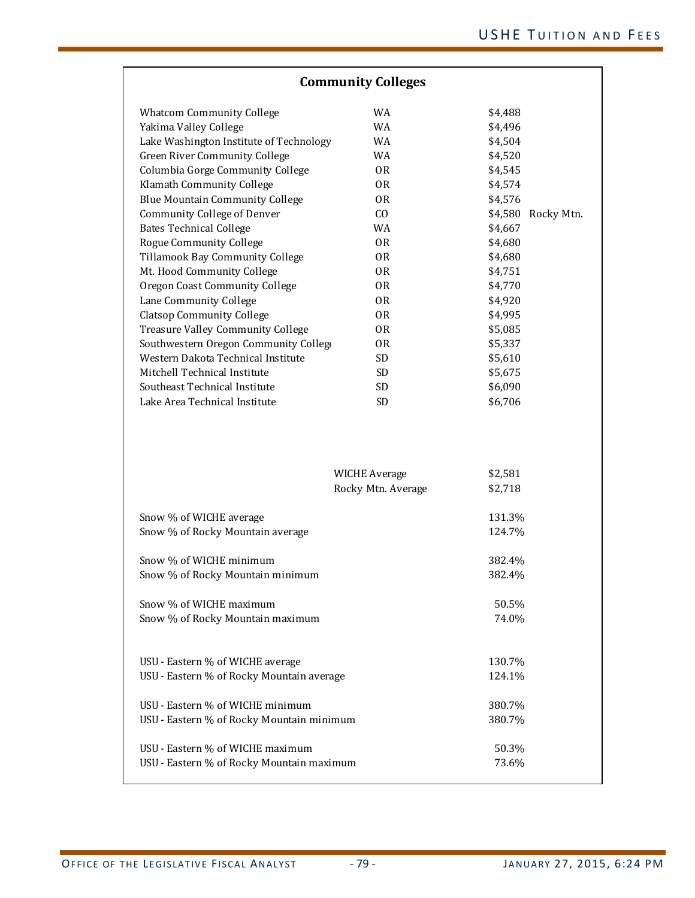| <b>Community Colleges</b>                 |                                            |                       |  |
|-------------------------------------------|--------------------------------------------|-----------------------|--|
| <b>Whatcom Community College</b>          | WA                                         | \$4,488               |  |
| Yakima Valley College                     | WA                                         | \$4,496               |  |
| Lake Washington Institute of Technology   | WA                                         | \$4,504               |  |
| Green River Community College             | WA                                         | \$4,520               |  |
| Columbia Gorge Community College          | 0R                                         | \$4,545               |  |
| Klamath Community College                 | 0R                                         | \$4,574               |  |
| <b>Blue Mountain Community College</b>    | 0R                                         | \$4,576               |  |
| Community College of Denver               | CO                                         | \$4,580<br>Rocky Mtn. |  |
| <b>Bates Technical College</b>            | <b>WA</b>                                  | \$4,667               |  |
| <b>Rogue Community College</b>            | 0R                                         | \$4,680               |  |
| Tillamook Bay Community College           | 0 <sub>R</sub>                             | \$4,680               |  |
| Mt. Hood Community College                | 0R                                         | \$4,751               |  |
| Oregon Coast Community College            | 0R                                         | \$4,770               |  |
| Lane Community College                    | 0R                                         | \$4,920               |  |
| <b>Clatsop Community College</b>          | 0R                                         | \$4,995               |  |
| <b>Treasure Valley Community College</b>  | 0R                                         | \$5,085               |  |
| Southwestern Oregon Community Collego     | 0R                                         | \$5,337               |  |
| Western Dakota Technical Institute        | <b>SD</b>                                  | \$5,610               |  |
| Mitchell Technical Institute              | SD                                         | \$5,675               |  |
| Southeast Technical Institute             | <b>SD</b>                                  | \$6,090               |  |
| Lake Area Technical Institute             | SD                                         | \$6,706               |  |
|                                           | <b>WICHE Average</b><br>Rocky Mtn. Average | \$2,581<br>\$2,718    |  |
|                                           |                                            |                       |  |
| Snow % of WICHE average                   |                                            | 131.3%                |  |
| Snow % of Rocky Mountain average          |                                            | 124.7%                |  |
| Snow % of WICHE minimum                   |                                            | 382.4%                |  |
| Snow % of Rocky Mountain minimum          |                                            | 382.4%                |  |
|                                           |                                            |                       |  |
| Snow % of WICHE maximum                   |                                            | 50.5%                 |  |
| Snow % of Rocky Mountain maximum          |                                            | 74.0%                 |  |
| USU - Eastern % of WICHE average          |                                            | 130.7%                |  |
| USU - Eastern % of Rocky Mountain average |                                            | 124.1%                |  |
|                                           |                                            |                       |  |
| USU - Eastern % of WICHE minimum          |                                            | 380.7%                |  |
| USU - Eastern % of Rocky Mountain minimum |                                            | 380.7%                |  |
| USU - Eastern % of WICHE maximum          |                                            | 50.3%                 |  |
| USU - Eastern % of Rocky Mountain maximum |                                            | 73.6%                 |  |
|                                           |                                            |                       |  |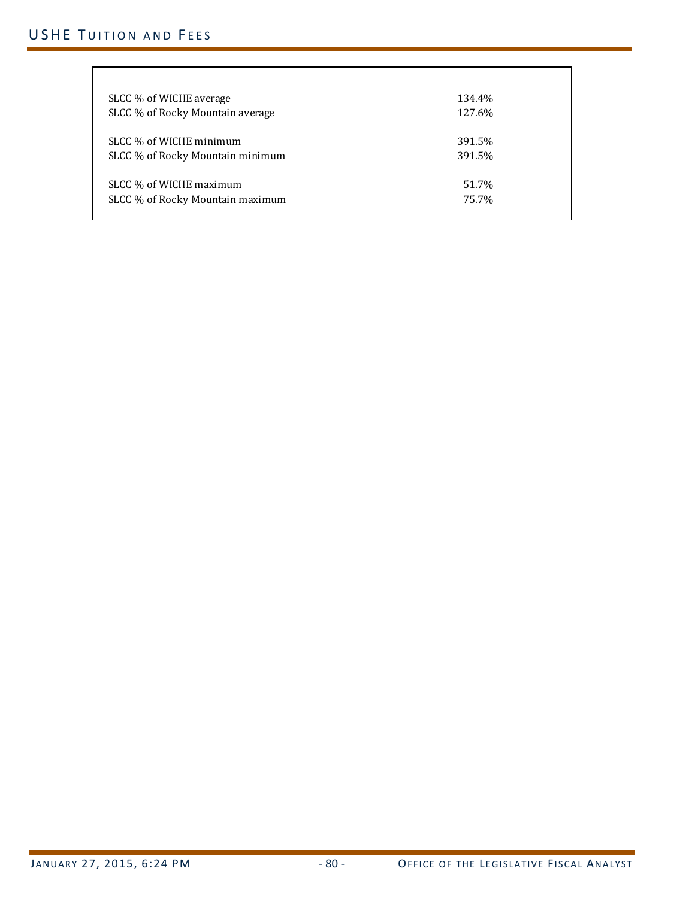# USHE TUITION AND FEES

| SLCC % of WICHE average          | 134.4% |
|----------------------------------|--------|
| SLCC % of Rocky Mountain average | 127.6% |
| SLCC % of WICHE minimum          | 391.5% |
| SLCC % of Rocky Mountain minimum | 391.5% |
| SLCC % of WICHE maximum          | 51.7%  |
| SLCC % of Rocky Mountain maximum | 75.7%  |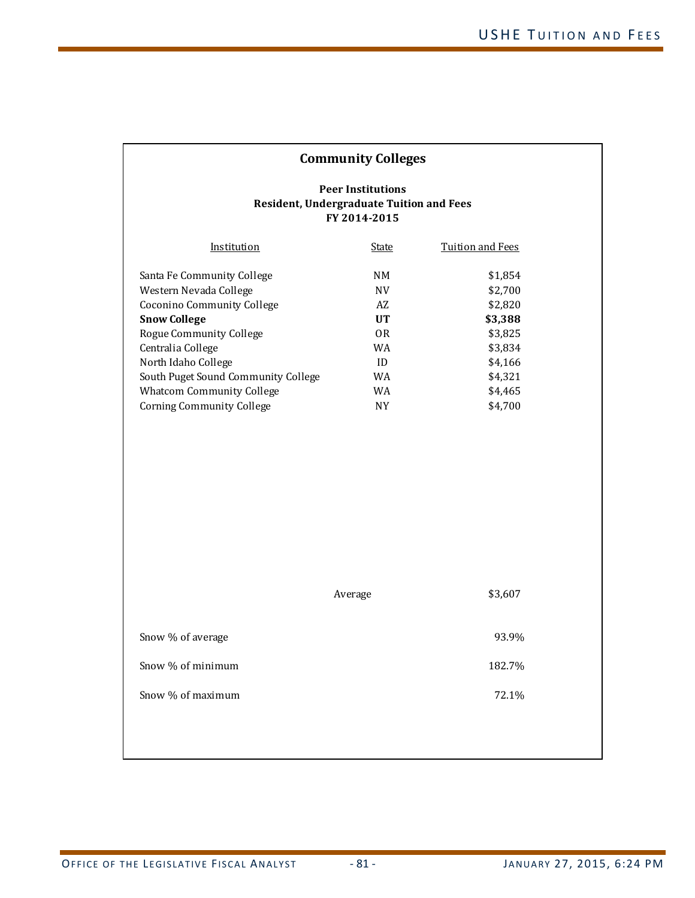| <b>Community Colleges</b>                                                                                                                                                                                                                                                                       |                                                                                      |                                                                                                            |  |  |
|-------------------------------------------------------------------------------------------------------------------------------------------------------------------------------------------------------------------------------------------------------------------------------------------------|--------------------------------------------------------------------------------------|------------------------------------------------------------------------------------------------------------|--|--|
| <b>Peer Institutions</b><br><b>Resident, Undergraduate Tuition and Fees</b><br>FY 2014-2015                                                                                                                                                                                                     |                                                                                      |                                                                                                            |  |  |
| Institution                                                                                                                                                                                                                                                                                     | <b>State</b>                                                                         | <b>Tuition and Fees</b>                                                                                    |  |  |
| Santa Fe Community College<br>Western Nevada College<br>Coconino Community College<br><b>Snow College</b><br>Rogue Community College<br>Centralia College<br>North Idaho College<br>South Puget Sound Community College<br><b>Whatcom Community College</b><br><b>Corning Community College</b> | NM<br><b>NV</b><br>AZ<br><b>UT</b><br><b>OR</b><br>WA<br>ID<br>WA<br>WA<br><b>NY</b> | \$1,854<br>\$2,700<br>\$2,820<br>\$3,388<br>\$3,825<br>\$3,834<br>\$4,166<br>\$4,321<br>\$4,465<br>\$4,700 |  |  |
| \$3,607<br>Average                                                                                                                                                                                                                                                                              |                                                                                      |                                                                                                            |  |  |
| Snow % of average                                                                                                                                                                                                                                                                               |                                                                                      | 93.9%                                                                                                      |  |  |
| Snow % of minimum                                                                                                                                                                                                                                                                               |                                                                                      | 182.7%                                                                                                     |  |  |
| Snow % of maximum                                                                                                                                                                                                                                                                               |                                                                                      | 72.1%                                                                                                      |  |  |
|                                                                                                                                                                                                                                                                                                 |                                                                                      |                                                                                                            |  |  |